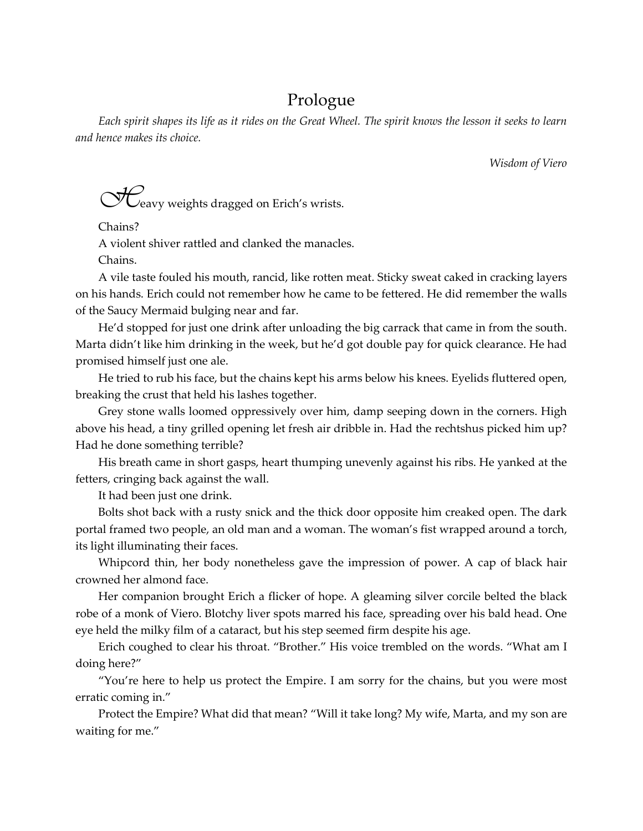## Prologue

*Each spirit shapes its life as it rides on the Great Wheel. The spirit knows the lesson it seeks to learn and hence makes its choice.*

*Wisdom of Viero*

 $\bigcirc$ <sup>1</sup> $\bigcirc$ <sup>2</sup> eavy weights dragged on Erich's wrists.

Chains?

A violent shiver rattled and clanked the manacles.

Chains.

A vile taste fouled his mouth, rancid, like rotten meat. Sticky sweat caked in cracking layers on his hands. Erich could not remember how he came to be fettered. He did remember the walls of the Saucy Mermaid bulging near and far.

He'd stopped for just one drink after unloading the big carrack that came in from the south. Marta didn't like him drinking in the week, but he'd got double pay for quick clearance. He had promised himself just one ale.

He tried to rub his face, but the chains kept his arms below his knees. Eyelids fluttered open, breaking the crust that held his lashes together.

Grey stone walls loomed oppressively over him, damp seeping down in the corners. High above his head, a tiny grilled opening let fresh air dribble in. Had the rechtshus picked him up? Had he done something terrible?

His breath came in short gasps, heart thumping unevenly against his ribs. He yanked at the fetters, cringing back against the wall.

It had been just one drink.

Bolts shot back with a rusty snick and the thick door opposite him creaked open. The dark portal framed two people, an old man and a woman. The woman's fist wrapped around a torch, its light illuminating their faces.

Whipcord thin, her body nonetheless gave the impression of power. A cap of black hair crowned her almond face.

Her companion brought Erich a flicker of hope. A gleaming silver corcile belted the black robe of a monk of Viero. Blotchy liver spots marred his face, spreading over his bald head. One eye held the milky film of a cataract, but his step seemed firm despite his age.

Erich coughed to clear his throat. "Brother." His voice trembled on the words. "What am I doing here?"

"You're here to help us protect the Empire. I am sorry for the chains, but you were most erratic coming in."

Protect the Empire? What did that mean? "Will it take long? My wife, Marta, and my son are waiting for me."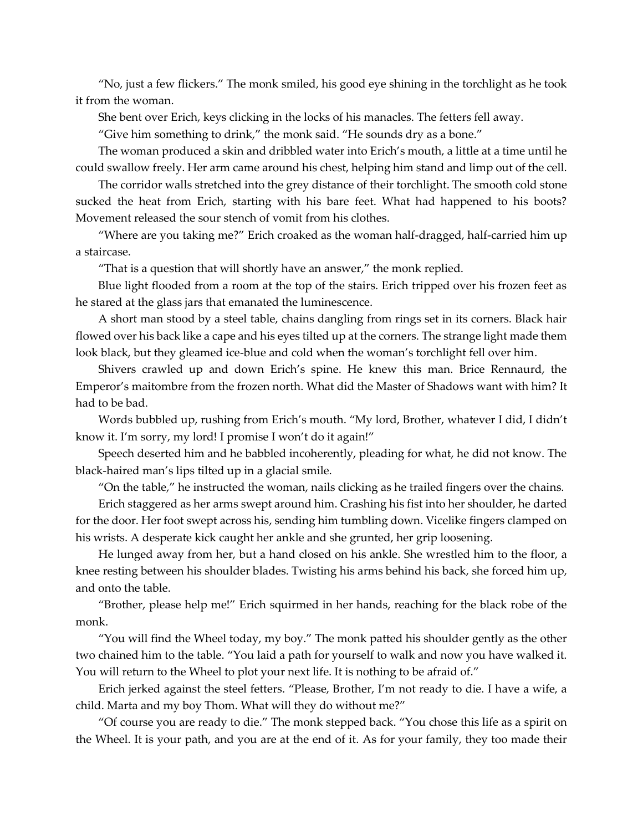"No, just a few flickers." The monk smiled, his good eye shining in the torchlight as he took it from the woman.

She bent over Erich, keys clicking in the locks of his manacles. The fetters fell away.

"Give him something to drink," the monk said. "He sounds dry as a bone."

The woman produced a skin and dribbled water into Erich's mouth, a little at a time until he could swallow freely. Her arm came around his chest, helping him stand and limp out of the cell.

The corridor walls stretched into the grey distance of their torchlight. The smooth cold stone sucked the heat from Erich, starting with his bare feet. What had happened to his boots? Movement released the sour stench of vomit from his clothes.

"Where are you taking me?" Erich croaked as the woman half-dragged, half-carried him up a staircase.

"That is a question that will shortly have an answer," the monk replied.

Blue light flooded from a room at the top of the stairs. Erich tripped over his frozen feet as he stared at the glass jars that emanated the luminescence.

A short man stood by a steel table, chains dangling from rings set in its corners. Black hair flowed over his back like a cape and his eyes tilted up at the corners. The strange light made them look black, but they gleamed ice-blue and cold when the woman's torchlight fell over him.

Shivers crawled up and down Erich's spine. He knew this man. Brice Rennaurd, the Emperor's maitombre from the frozen north. What did the Master of Shadows want with him? It had to be bad.

Words bubbled up, rushing from Erich's mouth. "My lord, Brother, whatever I did, I didn't know it. I'm sorry, my lord! I promise I won't do it again!"

Speech deserted him and he babbled incoherently, pleading for what, he did not know. The black-haired man's lips tilted up in a glacial smile.

"On the table," he instructed the woman, nails clicking as he trailed fingers over the chains.

Erich staggered as her arms swept around him. Crashing his fist into her shoulder, he darted for the door. Her foot swept across his, sending him tumbling down. Vicelike fingers clamped on his wrists. A desperate kick caught her ankle and she grunted, her grip loosening.

He lunged away from her, but a hand closed on his ankle. She wrestled him to the floor, a knee resting between his shoulder blades. Twisting his arms behind his back, she forced him up, and onto the table.

"Brother, please help me!" Erich squirmed in her hands, reaching for the black robe of the monk.

"You will find the Wheel today, my boy." The monk patted his shoulder gently as the other two chained him to the table. "You laid a path for yourself to walk and now you have walked it. You will return to the Wheel to plot your next life. It is nothing to be afraid of."

Erich jerked against the steel fetters. "Please, Brother, I'm not ready to die. I have a wife, a child. Marta and my boy Thom. What will they do without me?"

"Of course you are ready to die." The monk stepped back. "You chose this life as a spirit on the Wheel. It is your path, and you are at the end of it. As for your family, they too made their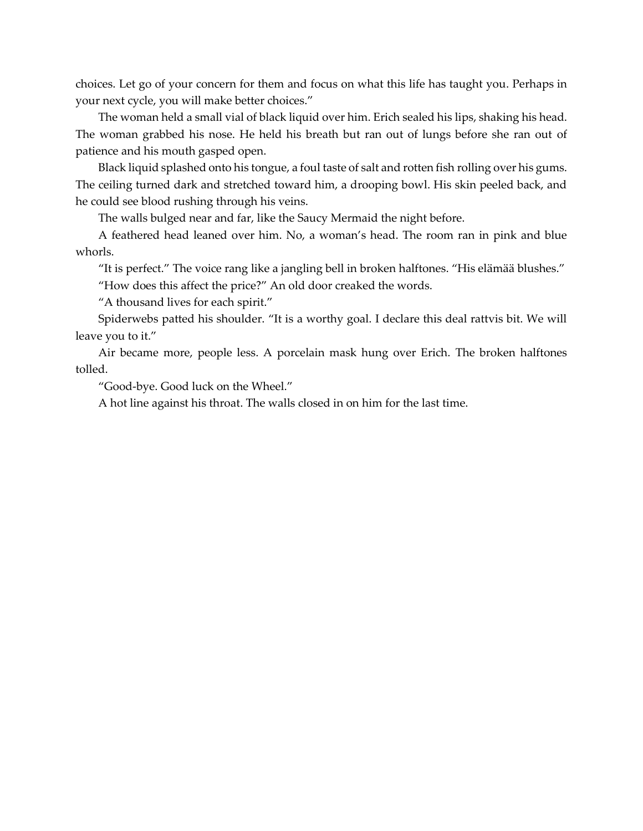choices. Let go of your concern for them and focus on what this life has taught you. Perhaps in your next cycle, you will make better choices."

The woman held a small vial of black liquid over him. Erich sealed his lips, shaking his head. The woman grabbed his nose. He held his breath but ran out of lungs before she ran out of patience and his mouth gasped open.

Black liquid splashed onto his tongue, a foul taste of salt and rotten fish rolling over his gums. The ceiling turned dark and stretched toward him, a drooping bowl. His skin peeled back, and he could see blood rushing through his veins.

The walls bulged near and far, like the Saucy Mermaid the night before.

A feathered head leaned over him. No, a woman's head. The room ran in pink and blue whorls.

"It is perfect." The voice rang like a jangling bell in broken halftones. "His elämää blushes."

"How does this affect the price?" An old door creaked the words.

"A thousand lives for each spirit."

Spiderwebs patted his shoulder. "It is a worthy goal. I declare this deal rattvis bit. We will leave you to it."

Air became more, people less. A porcelain mask hung over Erich. The broken halftones tolled.

"Good-bye. Good luck on the Wheel."

A hot line against his throat. The walls closed in on him for the last time.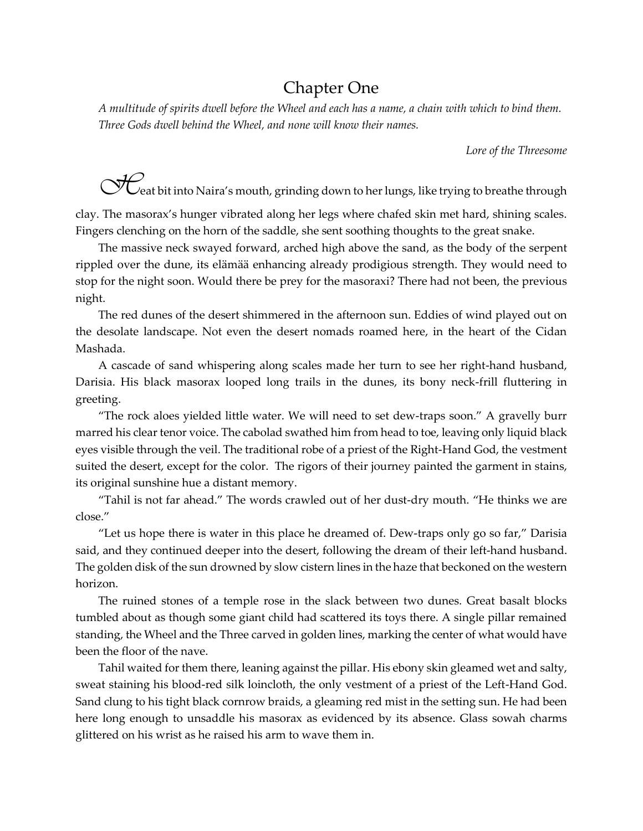## Chapter One

*A multitude of spirits dwell before the Wheel and each has a name, a chain with which to bind them. Three Gods dwell behind the Wheel, and none will know their names.*

*Lore of the Threesome*

**CHU** eat bit into Naira's mouth, grinding down to her lungs, like trying to breathe through

clay. The masorax's hunger vibrated along her legs where chafed skin met hard, shining scales. Fingers clenching on the horn of the saddle, she sent soothing thoughts to the great snake.

The massive neck swayed forward, arched high above the sand, as the body of the serpent rippled over the dune, its elämää enhancing already prodigious strength. They would need to stop for the night soon. Would there be prey for the masoraxi? There had not been, the previous night.

The red dunes of the desert shimmered in the afternoon sun. Eddies of wind played out on the desolate landscape. Not even the desert nomads roamed here, in the heart of the Cidan Mashada.

A cascade of sand whispering along scales made her turn to see her right-hand husband, Darisia. His black masorax looped long trails in the dunes, its bony neck-frill fluttering in greeting.

"The rock aloes yielded little water. We will need to set dew-traps soon." A gravelly burr marred his clear tenor voice. The cabolad swathed him from head to toe, leaving only liquid black eyes visible through the veil. The traditional robe of a priest of the Right-Hand God, the vestment suited the desert, except for the color. The rigors of their journey painted the garment in stains, its original sunshine hue a distant memory.

"Tahil is not far ahead." The words crawled out of her dust-dry mouth. "He thinks we are close."

"Let us hope there is water in this place he dreamed of. Dew-traps only go so far," Darisia said, and they continued deeper into the desert, following the dream of their left-hand husband. The golden disk of the sun drowned by slow cistern lines in the haze that beckoned on the western horizon.

The ruined stones of a temple rose in the slack between two dunes. Great basalt blocks tumbled about as though some giant child had scattered its toys there. A single pillar remained standing, the Wheel and the Three carved in golden lines, marking the center of what would have been the floor of the nave.

Tahil waited for them there, leaning against the pillar. His ebony skin gleamed wet and salty, sweat staining his blood-red silk loincloth, the only vestment of a priest of the Left-Hand God. Sand clung to his tight black cornrow braids, a gleaming red mist in the setting sun. He had been here long enough to unsaddle his masorax as evidenced by its absence. Glass sowah charms glittered on his wrist as he raised his arm to wave them in.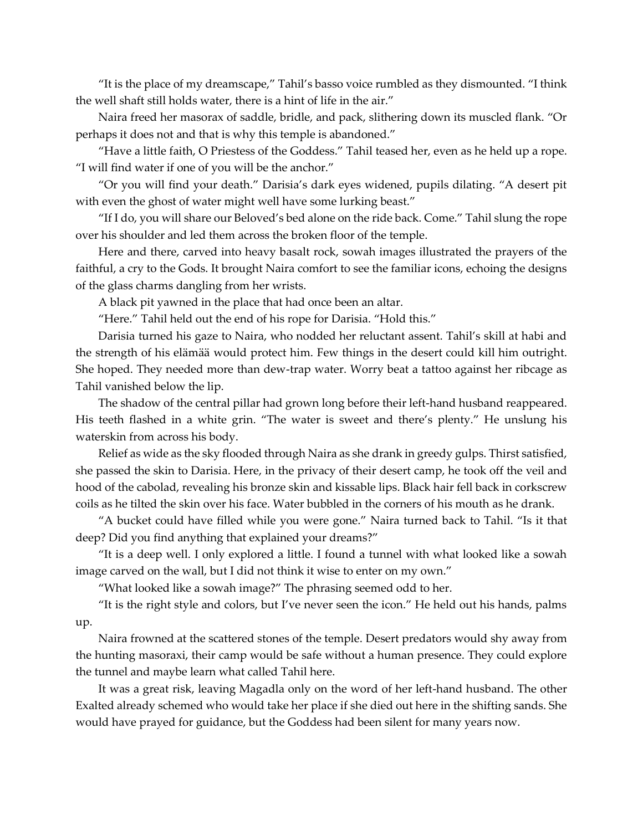"It is the place of my dreamscape," Tahil's basso voice rumbled as they dismounted. "I think the well shaft still holds water, there is a hint of life in the air."

Naira freed her masorax of saddle, bridle, and pack, slithering down its muscled flank. "Or perhaps it does not and that is why this temple is abandoned."

"Have a little faith, O Priestess of the Goddess." Tahil teased her, even as he held up a rope. "I will find water if one of you will be the anchor."

"Or you will find your death." Darisia's dark eyes widened, pupils dilating. "A desert pit with even the ghost of water might well have some lurking beast."

"If I do, you will share our Beloved's bed alone on the ride back. Come." Tahil slung the rope over his shoulder and led them across the broken floor of the temple.

Here and there, carved into heavy basalt rock, sowah images illustrated the prayers of the faithful, a cry to the Gods. It brought Naira comfort to see the familiar icons, echoing the designs of the glass charms dangling from her wrists.

A black pit yawned in the place that had once been an altar.

"Here." Tahil held out the end of his rope for Darisia. "Hold this."

Darisia turned his gaze to Naira, who nodded her reluctant assent. Tahil's skill at habi and the strength of his elämää would protect him. Few things in the desert could kill him outright. She hoped. They needed more than dew-trap water. Worry beat a tattoo against her ribcage as Tahil vanished below the lip.

The shadow of the central pillar had grown long before their left-hand husband reappeared. His teeth flashed in a white grin. "The water is sweet and there's plenty." He unslung his waterskin from across his body.

Relief as wide as the sky flooded through Naira as she drank in greedy gulps. Thirst satisfied, she passed the skin to Darisia. Here, in the privacy of their desert camp, he took off the veil and hood of the cabolad, revealing his bronze skin and kissable lips. Black hair fell back in corkscrew coils as he tilted the skin over his face. Water bubbled in the corners of his mouth as he drank.

"A bucket could have filled while you were gone." Naira turned back to Tahil. "Is it that deep? Did you find anything that explained your dreams?"

"It is a deep well. I only explored a little. I found a tunnel with what looked like a sowah image carved on the wall, but I did not think it wise to enter on my own."

"What looked like a sowah image?" The phrasing seemed odd to her.

"It is the right style and colors, but I've never seen the icon." He held out his hands, palms up.

Naira frowned at the scattered stones of the temple. Desert predators would shy away from the hunting masoraxi, their camp would be safe without a human presence. They could explore the tunnel and maybe learn what called Tahil here.

It was a great risk, leaving Magadla only on the word of her left-hand husband. The other Exalted already schemed who would take her place if she died out here in the shifting sands. She would have prayed for guidance, but the Goddess had been silent for many years now.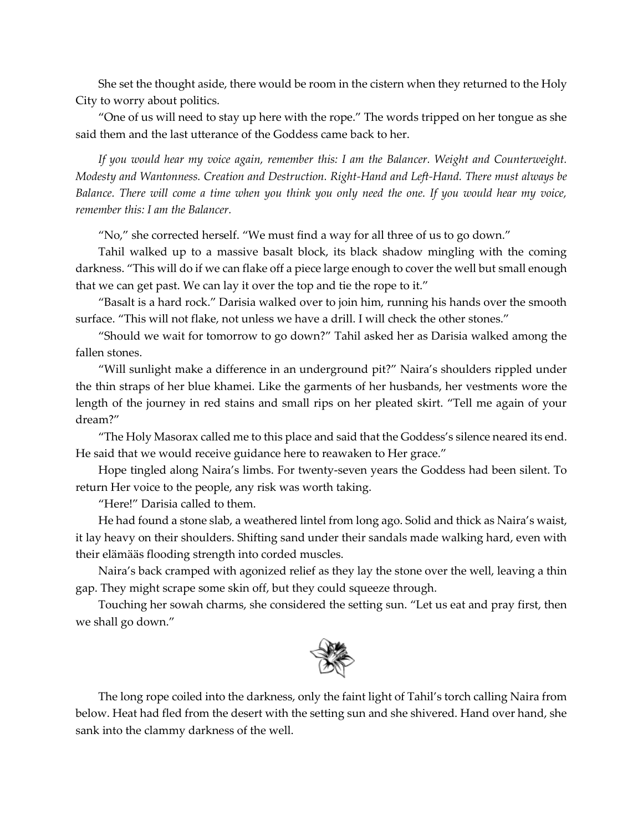She set the thought aside, there would be room in the cistern when they returned to the Holy City to worry about politics.

"One of us will need to stay up here with the rope." The words tripped on her tongue as she said them and the last utterance of the Goddess came back to her.

*If you would hear my voice again, remember this: I am the Balancer. Weight and Counterweight. Modesty and Wantonness. Creation and Destruction. Right-Hand and Left-Hand. There must always be Balance. There will come a time when you think you only need the one. If you would hear my voice, remember this: I am the Balancer.*

"No," she corrected herself. "We must find a way for all three of us to go down."

Tahil walked up to a massive basalt block, its black shadow mingling with the coming darkness. "This will do if we can flake off a piece large enough to cover the well but small enough that we can get past. We can lay it over the top and tie the rope to it."

"Basalt is a hard rock." Darisia walked over to join him, running his hands over the smooth surface. "This will not flake, not unless we have a drill. I will check the other stones."

"Should we wait for tomorrow to go down?" Tahil asked her as Darisia walked among the fallen stones.

"Will sunlight make a difference in an underground pit?" Naira's shoulders rippled under the thin straps of her blue khamei. Like the garments of her husbands, her vestments wore the length of the journey in red stains and small rips on her pleated skirt. "Tell me again of your dream?"

"The Holy Masorax called me to this place and said that the Goddess's silence neared its end. He said that we would receive guidance here to reawaken to Her grace."

Hope tingled along Naira's limbs. For twenty-seven years the Goddess had been silent. To return Her voice to the people, any risk was worth taking.

"Here!" Darisia called to them.

He had found a stone slab, a weathered lintel from long ago. Solid and thick as Naira's waist, it lay heavy on their shoulders. Shifting sand under their sandals made walking hard, even with their elämääs flooding strength into corded muscles.

Naira's back cramped with agonized relief as they lay the stone over the well, leaving a thin gap. They might scrape some skin off, but they could squeeze through.

Touching her sowah charms, she considered the setting sun. "Let us eat and pray first, then we shall go down."



The long rope coiled into the darkness, only the faint light of Tahil's torch calling Naira from below. Heat had fled from the desert with the setting sun and she shivered. Hand over hand, she sank into the clammy darkness of the well.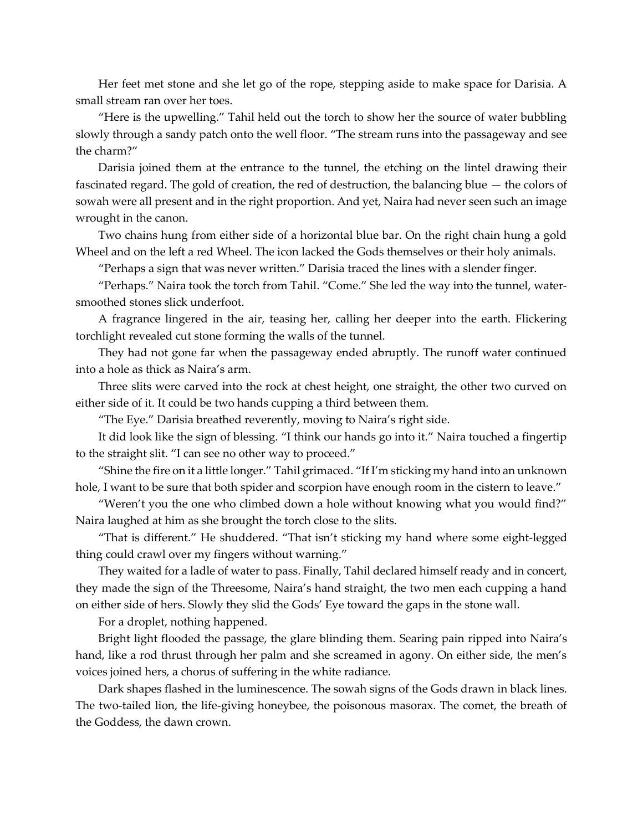Her feet met stone and she let go of the rope, stepping aside to make space for Darisia. A small stream ran over her toes.

"Here is the upwelling." Tahil held out the torch to show her the source of water bubbling slowly through a sandy patch onto the well floor. "The stream runs into the passageway and see the charm?"

Darisia joined them at the entrance to the tunnel, the etching on the lintel drawing their fascinated regard. The gold of creation, the red of destruction, the balancing blue — the colors of sowah were all present and in the right proportion. And yet, Naira had never seen such an image wrought in the canon.

Two chains hung from either side of a horizontal blue bar. On the right chain hung a gold Wheel and on the left a red Wheel. The icon lacked the Gods themselves or their holy animals.

"Perhaps a sign that was never written." Darisia traced the lines with a slender finger.

"Perhaps." Naira took the torch from Tahil. "Come." She led the way into the tunnel, watersmoothed stones slick underfoot.

A fragrance lingered in the air, teasing her, calling her deeper into the earth. Flickering torchlight revealed cut stone forming the walls of the tunnel.

They had not gone far when the passageway ended abruptly. The runoff water continued into a hole as thick as Naira's arm.

Three slits were carved into the rock at chest height, one straight, the other two curved on either side of it. It could be two hands cupping a third between them.

"The Eye." Darisia breathed reverently, moving to Naira's right side.

It did look like the sign of blessing. "I think our hands go into it." Naira touched a fingertip to the straight slit. "I can see no other way to proceed."

"Shine the fire on it a little longer." Tahil grimaced. "If I'm sticking my hand into an unknown hole, I want to be sure that both spider and scorpion have enough room in the cistern to leave."

"Weren't you the one who climbed down a hole without knowing what you would find?" Naira laughed at him as she brought the torch close to the slits.

"That is different." He shuddered. "That isn't sticking my hand where some eight-legged thing could crawl over my fingers without warning."

They waited for a ladle of water to pass. Finally, Tahil declared himself ready and in concert, they made the sign of the Threesome, Naira's hand straight, the two men each cupping a hand on either side of hers. Slowly they slid the Gods' Eye toward the gaps in the stone wall.

For a droplet, nothing happened.

Bright light flooded the passage, the glare blinding them. Searing pain ripped into Naira's hand, like a rod thrust through her palm and she screamed in agony. On either side, the men's voices joined hers, a chorus of suffering in the white radiance.

Dark shapes flashed in the luminescence. The sowah signs of the Gods drawn in black lines. The two-tailed lion, the life-giving honeybee, the poisonous masorax. The comet, the breath of the Goddess, the dawn crown.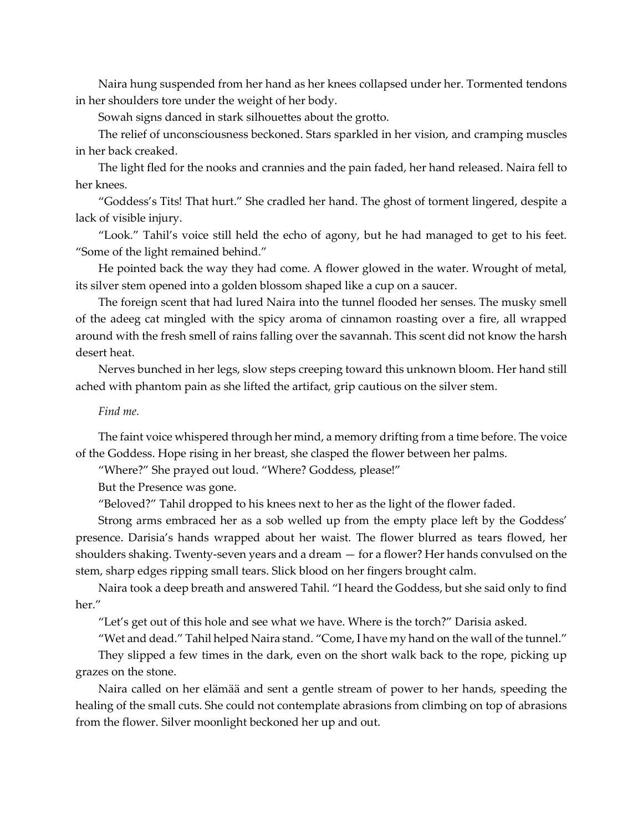Naira hung suspended from her hand as her knees collapsed under her. Tormented tendons in her shoulders tore under the weight of her body.

Sowah signs danced in stark silhouettes about the grotto.

The relief of unconsciousness beckoned. Stars sparkled in her vision, and cramping muscles in her back creaked.

The light fled for the nooks and crannies and the pain faded, her hand released. Naira fell to her knees.

"Goddess's Tits! That hurt." She cradled her hand. The ghost of torment lingered, despite a lack of visible injury.

"Look." Tahil's voice still held the echo of agony, but he had managed to get to his feet. "Some of the light remained behind."

He pointed back the way they had come. A flower glowed in the water. Wrought of metal, its silver stem opened into a golden blossom shaped like a cup on a saucer.

The foreign scent that had lured Naira into the tunnel flooded her senses. The musky smell of the adeeg cat mingled with the spicy aroma of cinnamon roasting over a fire, all wrapped around with the fresh smell of rains falling over the savannah. This scent did not know the harsh desert heat.

Nerves bunched in her legs, slow steps creeping toward this unknown bloom. Her hand still ached with phantom pain as she lifted the artifact, grip cautious on the silver stem.

#### *Find me.*

The faint voice whispered through her mind, a memory drifting from a time before. The voice of the Goddess. Hope rising in her breast, she clasped the flower between her palms.

"Where?" She prayed out loud. "Where? Goddess, please!"

But the Presence was gone.

"Beloved?" Tahil dropped to his knees next to her as the light of the flower faded.

Strong arms embraced her as a sob welled up from the empty place left by the Goddess' presence. Darisia's hands wrapped about her waist. The flower blurred as tears flowed, her shoulders shaking. Twenty-seven years and a dream — for a flower? Her hands convulsed on the stem, sharp edges ripping small tears. Slick blood on her fingers brought calm.

Naira took a deep breath and answered Tahil. "I heard the Goddess, but she said only to find her"

"Let's get out of this hole and see what we have. Where is the torch?" Darisia asked.

"Wet and dead." Tahil helped Naira stand. "Come, I have my hand on the wall of the tunnel."

They slipped a few times in the dark, even on the short walk back to the rope, picking up grazes on the stone.

Naira called on her elämää and sent a gentle stream of power to her hands, speeding the healing of the small cuts. She could not contemplate abrasions from climbing on top of abrasions from the flower. Silver moonlight beckoned her up and out.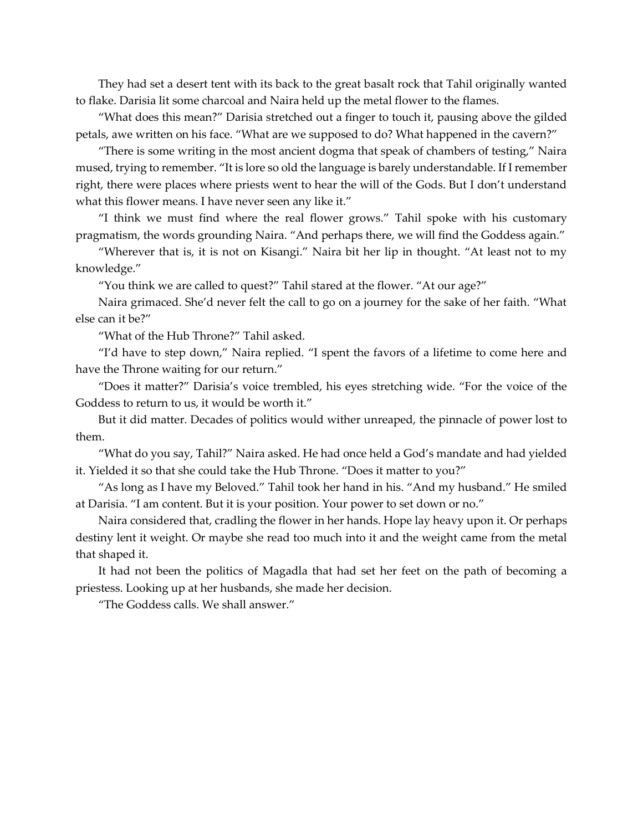They had set a desert tent with its back to the great basalt rock that Tahil originally wanted to flake. Darisia lit some charcoal and Naira held up the metal flower to the flames.

"What does this mean?" Darisia stretched out a finger to touch it, pausing above the gilded petals, awe written on his face. "What are we supposed to do? What happened in the cavern?"

"There is some writing in the most ancient dogma that speak of chambers of testing," Naira mused, trying to remember. "It is lore so old the language is barely understandable. If I remember right, there were places where priests went to hear the will of the Gods. But I don't understand what this flower means. I have never seen any like it."

"I think we must find where the real flower grows." Tahil spoke with his customary pragmatism, the words grounding Naira. "And perhaps there, we will find the Goddess again."

"Wherever that is, it is not on Kisangi." Naira bit her lip in thought. "At least not to my knowledge."

"You think we are called to quest?" Tahil stared at the flower. "At our age?"

Naira grimaced. She'd never felt the call to go on a journey for the sake of her faith. "What else can it be?"

"What of the Hub Throne?" Tahil asked.

"I'd have to step down," Naira replied. "I spent the favors of a lifetime to come here and have the Throne waiting for our return."

"Does it matter?" Darisia's voice trembled, his eyes stretching wide. "For the voice of the Goddess to return to us, it would be worth it."

But it did matter. Decades of politics would wither unreaped, the pinnacle of power lost to them.

"What do you say, Tahil?" Naira asked. He had once held a God's mandate and had yielded it. Yielded it so that she could take the Hub Throne. "Does it matter to you?"

"As long as I have my Beloved." Tahil took her hand in his. "And my husband." He smiled at Darisia. "I am content. But it is your position. Your power to set down or no."

Naira considered that, cradling the flower in her hands. Hope lay heavy upon it. Or perhaps destiny lent it weight. Or maybe she read too much into it and the weight came from the metal that shaped it.

It had not been the politics of Magadla that had set her feet on the path of becoming a priestess. Looking up at her husbands, she made her decision.

"The Goddess calls. We shall answer."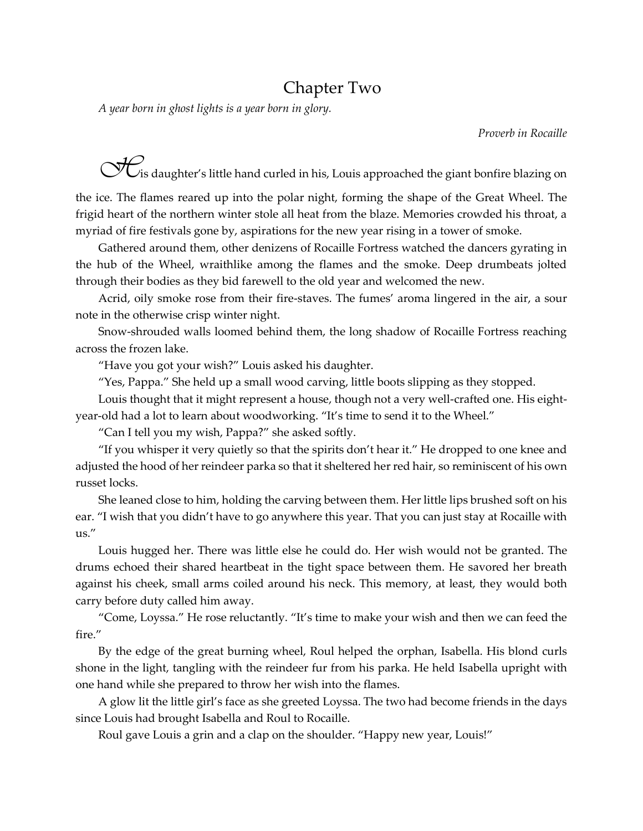### Chapter Two

*A year born in ghost lights is a year born in glory.*

*Proverb in Rocaille*

**H**is daughter's little hand curled in his, Louis approached the giant bonfire blazing on

the ice. The flames reared up into the polar night, forming the shape of the Great Wheel. The frigid heart of the northern winter stole all heat from the blaze. Memories crowded his throat, a myriad of fire festivals gone by, aspirations for the new year rising in a tower of smoke.

Gathered around them, other denizens of Rocaille Fortress watched the dancers gyrating in the hub of the Wheel, wraithlike among the flames and the smoke. Deep drumbeats jolted through their bodies as they bid farewell to the old year and welcomed the new.

Acrid, oily smoke rose from their fire-staves. The fumes' aroma lingered in the air, a sour note in the otherwise crisp winter night.

Snow-shrouded walls loomed behind them, the long shadow of Rocaille Fortress reaching across the frozen lake.

"Have you got your wish?" Louis asked his daughter.

"Yes, Pappa." She held up a small wood carving, little boots slipping as they stopped.

Louis thought that it might represent a house, though not a very well-crafted one. His eightyear-old had a lot to learn about woodworking. "It's time to send it to the Wheel."

"Can I tell you my wish, Pappa?" she asked softly.

"If you whisper it very quietly so that the spirits don't hear it." He dropped to one knee and adjusted the hood of her reindeer parka so that it sheltered her red hair, so reminiscent of his own russet locks.

She leaned close to him, holding the carving between them. Her little lips brushed soft on his ear. "I wish that you didn't have to go anywhere this year. That you can just stay at Rocaille with us."

Louis hugged her. There was little else he could do. Her wish would not be granted. The drums echoed their shared heartbeat in the tight space between them. He savored her breath against his cheek, small arms coiled around his neck. This memory, at least, they would both carry before duty called him away.

"Come, Loyssa." He rose reluctantly. "It's time to make your wish and then we can feed the fire."

By the edge of the great burning wheel, Roul helped the orphan, Isabella. His blond curls shone in the light, tangling with the reindeer fur from his parka. He held Isabella upright with one hand while she prepared to throw her wish into the flames.

A glow lit the little girl's face as she greeted Loyssa. The two had become friends in the days since Louis had brought Isabella and Roul to Rocaille.

Roul gave Louis a grin and a clap on the shoulder. "Happy new year, Louis!"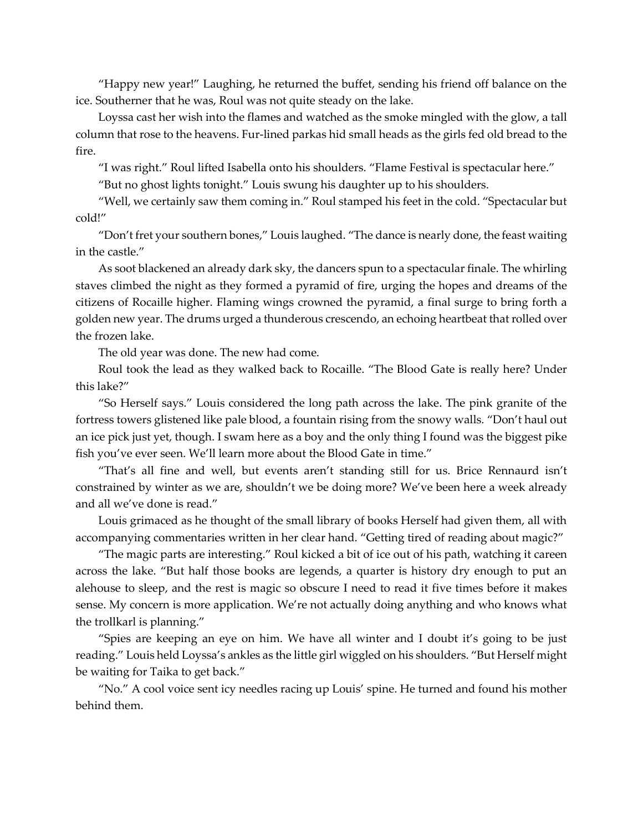"Happy new year!" Laughing, he returned the buffet, sending his friend off balance on the ice. Southerner that he was, Roul was not quite steady on the lake.

Loyssa cast her wish into the flames and watched as the smoke mingled with the glow, a tall column that rose to the heavens. Fur-lined parkas hid small heads as the girls fed old bread to the fire.

"I was right." Roul lifted Isabella onto his shoulders. "Flame Festival is spectacular here."

"But no ghost lights tonight." Louis swung his daughter up to his shoulders.

"Well, we certainly saw them coming in." Roul stamped his feet in the cold. "Spectacular but cold!"

"Don't fret your southern bones," Louis laughed. "The dance is nearly done, the feast waiting in the castle."

As soot blackened an already dark sky, the dancers spun to a spectacular finale. The whirling staves climbed the night as they formed a pyramid of fire, urging the hopes and dreams of the citizens of Rocaille higher. Flaming wings crowned the pyramid, a final surge to bring forth a golden new year. The drums urged a thunderous crescendo, an echoing heartbeat that rolled over the frozen lake.

The old year was done. The new had come.

Roul took the lead as they walked back to Rocaille. "The Blood Gate is really here? Under this lake?"

"So Herself says." Louis considered the long path across the lake. The pink granite of the fortress towers glistened like pale blood, a fountain rising from the snowy walls. "Don't haul out an ice pick just yet, though. I swam here as a boy and the only thing I found was the biggest pike fish you've ever seen. We'll learn more about the Blood Gate in time."

"That's all fine and well, but events aren't standing still for us. Brice Rennaurd isn't constrained by winter as we are, shouldn't we be doing more? We've been here a week already and all we've done is read."

Louis grimaced as he thought of the small library of books Herself had given them, all with accompanying commentaries written in her clear hand. "Getting tired of reading about magic?"

"The magic parts are interesting." Roul kicked a bit of ice out of his path, watching it careen across the lake. "But half those books are legends, a quarter is history dry enough to put an alehouse to sleep, and the rest is magic so obscure I need to read it five times before it makes sense. My concern is more application. We're not actually doing anything and who knows what the trollkarl is planning."

"Spies are keeping an eye on him. We have all winter and I doubt it's going to be just reading." Louis held Loyssa's ankles as the little girl wiggled on his shoulders. "But Herself might be waiting for Taika to get back."

"No." A cool voice sent icy needles racing up Louis' spine. He turned and found his mother behind them.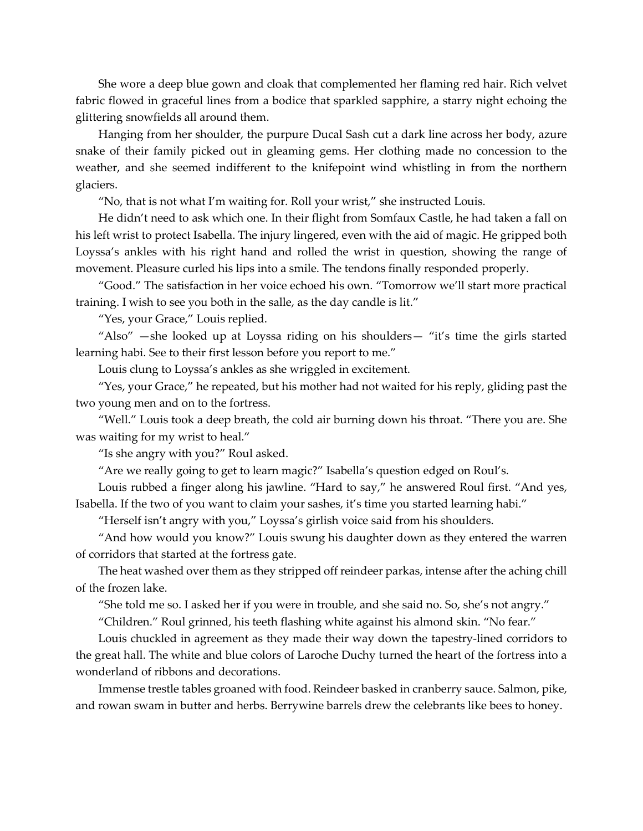She wore a deep blue gown and cloak that complemented her flaming red hair. Rich velvet fabric flowed in graceful lines from a bodice that sparkled sapphire, a starry night echoing the glittering snowfields all around them.

Hanging from her shoulder, the purpure Ducal Sash cut a dark line across her body, azure snake of their family picked out in gleaming gems. Her clothing made no concession to the weather, and she seemed indifferent to the knifepoint wind whistling in from the northern glaciers.

"No, that is not what I'm waiting for. Roll your wrist," she instructed Louis.

He didn't need to ask which one. In their flight from Somfaux Castle, he had taken a fall on his left wrist to protect Isabella. The injury lingered, even with the aid of magic. He gripped both Loyssa's ankles with his right hand and rolled the wrist in question, showing the range of movement. Pleasure curled his lips into a smile. The tendons finally responded properly.

"Good." The satisfaction in her voice echoed his own. "Tomorrow we'll start more practical training. I wish to see you both in the salle, as the day candle is lit."

"Yes, your Grace," Louis replied.

"Also" —she looked up at Loyssa riding on his shoulders— "it's time the girls started learning habi. See to their first lesson before you report to me."

Louis clung to Loyssa's ankles as she wriggled in excitement.

"Yes, your Grace," he repeated, but his mother had not waited for his reply, gliding past the two young men and on to the fortress.

"Well." Louis took a deep breath, the cold air burning down his throat. "There you are. She was waiting for my wrist to heal."

"Is she angry with you?" Roul asked.

"Are we really going to get to learn magic?" Isabella's question edged on Roul's.

Louis rubbed a finger along his jawline. "Hard to say," he answered Roul first. "And yes, Isabella. If the two of you want to claim your sashes, it's time you started learning habi."

"Herself isn't angry with you," Loyssa's girlish voice said from his shoulders.

"And how would you know?" Louis swung his daughter down as they entered the warren of corridors that started at the fortress gate.

The heat washed over them as they stripped off reindeer parkas, intense after the aching chill of the frozen lake.

"She told me so. I asked her if you were in trouble, and she said no. So, she's not angry."

"Children." Roul grinned, his teeth flashing white against his almond skin. "No fear."

Louis chuckled in agreement as they made their way down the tapestry-lined corridors to the great hall. The white and blue colors of Laroche Duchy turned the heart of the fortress into a wonderland of ribbons and decorations.

Immense trestle tables groaned with food. Reindeer basked in cranberry sauce. Salmon, pike, and rowan swam in butter and herbs. Berrywine barrels drew the celebrants like bees to honey.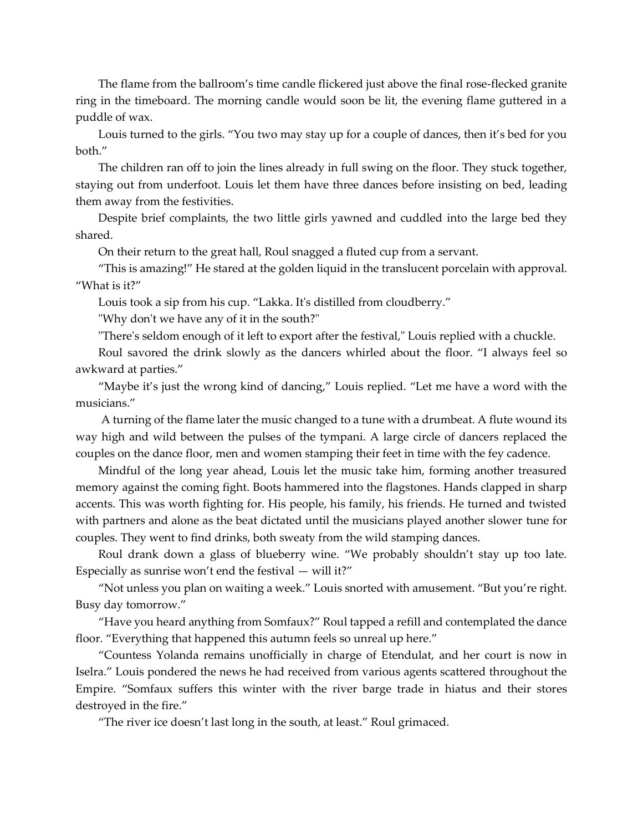The flame from the ballroom's time candle flickered just above the final rose-flecked granite ring in the timeboard. The morning candle would soon be lit, the evening flame guttered in a puddle of wax.

Louis turned to the girls. "You two may stay up for a couple of dances, then it's bed for you both."

The children ran off to join the lines already in full swing on the floor. They stuck together, staying out from underfoot. Louis let them have three dances before insisting on bed, leading them away from the festivities.

Despite brief complaints, the two little girls yawned and cuddled into the large bed they shared.

On their return to the great hall, Roul snagged a fluted cup from a servant.

"This is amazing!" He stared at the golden liquid in the translucent porcelain with approval. "What is it?"

Louis took a sip from his cup. "Lakka. It's distilled from cloudberry."

"Why don't we have any of it in the south?"

"There's seldom enough of it left to export after the festival," Louis replied with a chuckle.

Roul savored the drink slowly as the dancers whirled about the floor. "I always feel so awkward at parties."

"Maybe it's just the wrong kind of dancing," Louis replied. "Let me have a word with the musicians."

A turning of the flame later the music changed to a tune with a drumbeat. A flute wound its way high and wild between the pulses of the tympani. A large circle of dancers replaced the couples on the dance floor, men and women stamping their feet in time with the fey cadence.

Mindful of the long year ahead, Louis let the music take him, forming another treasured memory against the coming fight. Boots hammered into the flagstones. Hands clapped in sharp accents. This was worth fighting for. His people, his family, his friends. He turned and twisted with partners and alone as the beat dictated until the musicians played another slower tune for couples. They went to find drinks, both sweaty from the wild stamping dances.

Roul drank down a glass of blueberry wine. "We probably shouldn't stay up too late. Especially as sunrise won't end the festival  $-$  will it?"

"Not unless you plan on waiting a week." Louis snorted with amusement. "But you're right. Busy day tomorrow."

"Have you heard anything from Somfaux?" Roul tapped a refill and contemplated the dance floor. "Everything that happened this autumn feels so unreal up here."

"Countess Yolanda remains unofficially in charge of Etendulat, and her court is now in Iselra." Louis pondered the news he had received from various agents scattered throughout the Empire. "Somfaux suffers this winter with the river barge trade in hiatus and their stores destroyed in the fire."

"The river ice doesn't last long in the south, at least." Roul grimaced.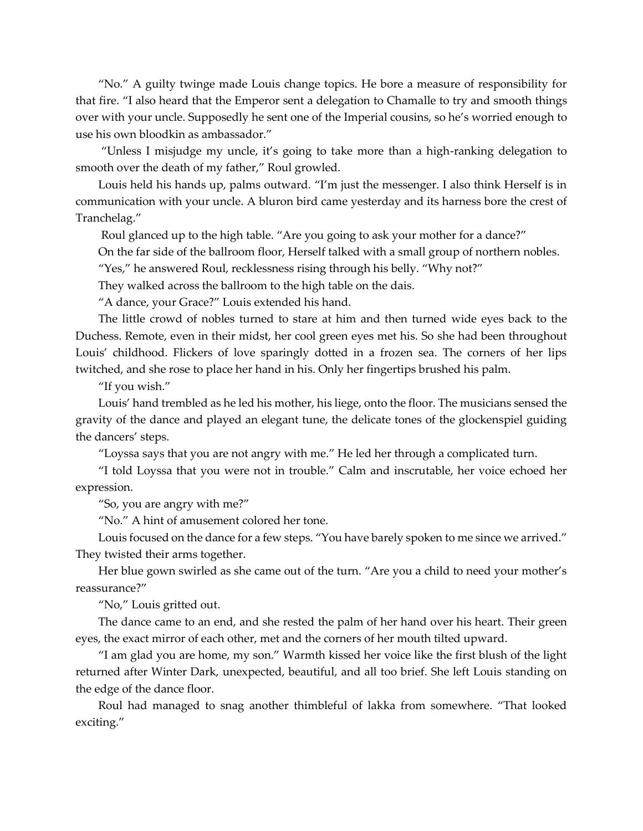"No." A guilty twinge made Louis change topics. He bore a measure of responsibility for that fire. "I also heard that the Emperor sent a delegation to Chamalle to try and smooth things over with your uncle. Supposedly he sent one of the Imperial cousins, so he's worried enough to use his own bloodkin as ambassador."

"Unless I misjudge my uncle, it's going to take more than a high-ranking delegation to smooth over the death of my father," Roul growled.

Louis held his hands up, palms outward. "I'm just the messenger. I also think Herself is in communication with your uncle. A bluron bird came yesterday and its harness bore the crest of Tranchelag."

Roul glanced up to the high table. "Are you going to ask your mother for a dance?"

On the far side of the ballroom floor, Herself talked with a small group of northern nobles.

"Yes," he answered Roul, recklessness rising through his belly. "Why not?"

They walked across the ballroom to the high table on the dais.

"A dance, your Grace?" Louis extended his hand.

The little crowd of nobles turned to stare at him and then turned wide eyes back to the Duchess. Remote, even in their midst, her cool green eyes met his. So she had been throughout Louis' childhood. Flickers of love sparingly dotted in a frozen sea. The corners of her lips twitched, and she rose to place her hand in his. Only her fingertips brushed his palm.

"If you wish."

Louis' hand trembled as he led his mother, his liege, onto the floor. The musicians sensed the gravity of the dance and played an elegant tune, the delicate tones of the glockenspiel guiding the dancers' steps.

"Loyssa says that you are not angry with me." He led her through a complicated turn.

"I told Loyssa that you were not in trouble." Calm and inscrutable, her voice echoed her expression.

"So, you are angry with me?"

"No." A hint of amusement colored her tone.

Louis focused on the dance for a few steps. "You have barely spoken to me since we arrived." They twisted their arms together.

Her blue gown swirled as she came out of the turn. "Are you a child to need your mother's reassurance?"

"No," Louis gritted out.

The dance came to an end, and she rested the palm of her hand over his heart. Their green eyes, the exact mirror of each other, met and the corners of her mouth tilted upward.

"I am glad you are home, my son." Warmth kissed her voice like the first blush of the light returned after Winter Dark, unexpected, beautiful, and all too brief. She left Louis standing on the edge of the dance floor.

Roul had managed to snag another thimbleful of lakka from somewhere. "That looked exciting."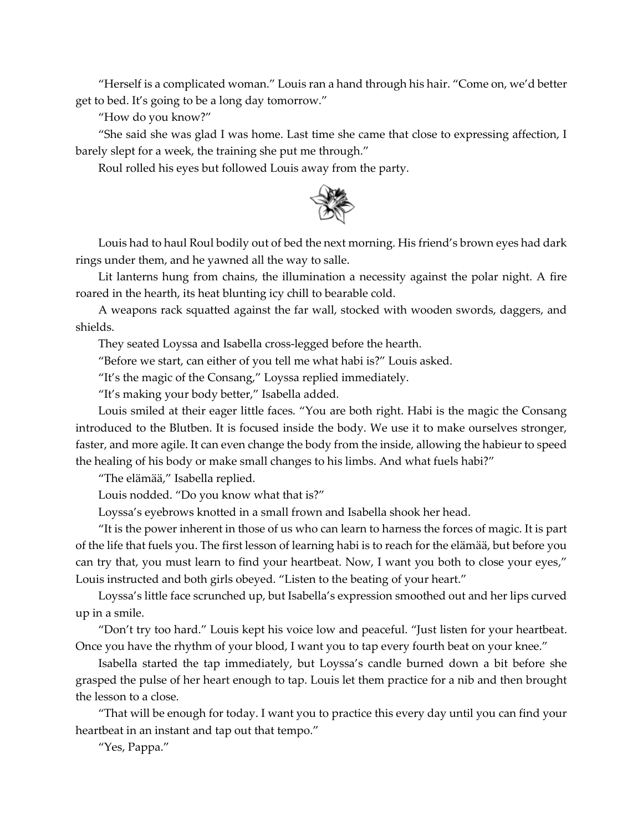"Herself is a complicated woman." Louis ran a hand through his hair. "Come on, we'd better get to bed. It's going to be a long day tomorrow."

"How do you know?"

"She said she was glad I was home. Last time she came that close to expressing affection, I barely slept for a week, the training she put me through."

Roul rolled his eyes but followed Louis away from the party.



Louis had to haul Roul bodily out of bed the next morning. His friend's brown eyes had dark rings under them, and he yawned all the way to salle.

Lit lanterns hung from chains, the illumination a necessity against the polar night. A fire roared in the hearth, its heat blunting icy chill to bearable cold.

A weapons rack squatted against the far wall, stocked with wooden swords, daggers, and shields.

They seated Loyssa and Isabella cross-legged before the hearth.

"Before we start, can either of you tell me what habi is?" Louis asked.

"It's the magic of the Consang," Loyssa replied immediately.

"It's making your body better," Isabella added.

Louis smiled at their eager little faces. "You are both right. Habi is the magic the Consang introduced to the Blutben. It is focused inside the body. We use it to make ourselves stronger, faster, and more agile. It can even change the body from the inside, allowing the habieur to speed the healing of his body or make small changes to his limbs. And what fuels habi?"

"The elämää," Isabella replied.

Louis nodded. "Do you know what that is?"

Loyssa's eyebrows knotted in a small frown and Isabella shook her head.

"It is the power inherent in those of us who can learn to harness the forces of magic. It is part of the life that fuels you. The first lesson of learning habi is to reach for the elämää, but before you can try that, you must learn to find your heartbeat. Now, I want you both to close your eyes," Louis instructed and both girls obeyed. "Listen to the beating of your heart."

Loyssa's little face scrunched up, but Isabella's expression smoothed out and her lips curved up in a smile.

"Don't try too hard." Louis kept his voice low and peaceful. "Just listen for your heartbeat. Once you have the rhythm of your blood, I want you to tap every fourth beat on your knee."

Isabella started the tap immediately, but Loyssa's candle burned down a bit before she grasped the pulse of her heart enough to tap. Louis let them practice for a nib and then brought the lesson to a close.

"That will be enough for today. I want you to practice this every day until you can find your heartbeat in an instant and tap out that tempo."

"Yes, Pappa."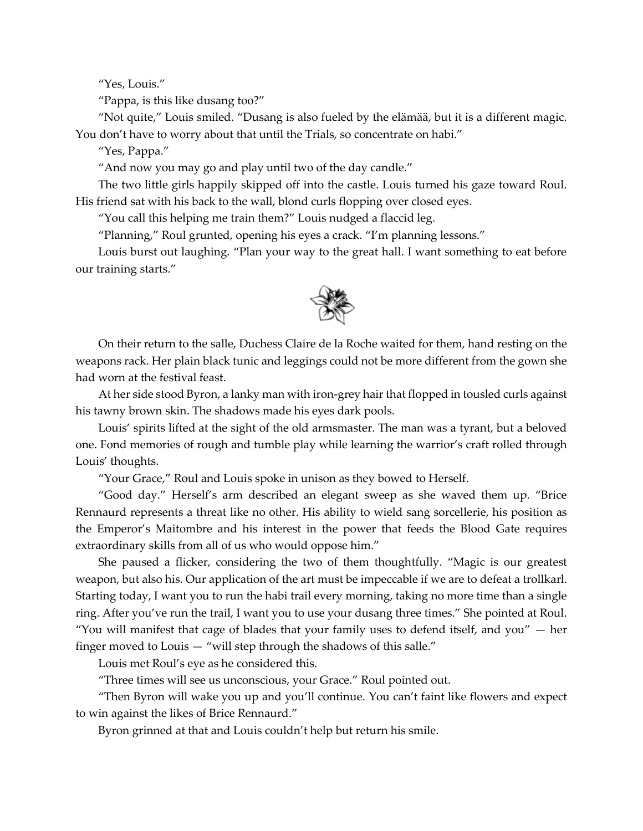"Yes, Louis."

"Pappa, is this like dusang too?"

"Not quite," Louis smiled. "Dusang is also fueled by the elämää, but it is a different magic. You don't have to worry about that until the Trials, so concentrate on habi."

"Yes, Pappa."

"And now you may go and play until two of the day candle."

The two little girls happily skipped off into the castle. Louis turned his gaze toward Roul. His friend sat with his back to the wall, blond curls flopping over closed eyes.

"You call this helping me train them?" Louis nudged a flaccid leg.

"Planning," Roul grunted, opening his eyes a crack. "I'm planning lessons."

Louis burst out laughing. "Plan your way to the great hall. I want something to eat before our training starts."



On their return to the salle, Duchess Claire de la Roche waited for them, hand resting on the weapons rack. Her plain black tunic and leggings could not be more different from the gown she had worn at the festival feast.

At her side stood Byron, a lanky man with iron-grey hair that flopped in tousled curls against his tawny brown skin. The shadows made his eyes dark pools.

Louis' spirits lifted at the sight of the old armsmaster. The man was a tyrant, but a beloved one. Fond memories of rough and tumble play while learning the warrior's craft rolled through Louis' thoughts.

"Your Grace," Roul and Louis spoke in unison as they bowed to Herself.

"Good day." Herself's arm described an elegant sweep as she waved them up. "Brice Rennaurd represents a threat like no other. His ability to wield sang sorcellerie, his position as the Emperor's Maitombre and his interest in the power that feeds the Blood Gate requires extraordinary skills from all of us who would oppose him."

She paused a flicker, considering the two of them thoughtfully. "Magic is our greatest weapon, but also his. Our application of the art must be impeccable if we are to defeat a trollkarl. Starting today, I want you to run the habi trail every morning, taking no more time than a single ring. After you've run the trail, I want you to use your dusang three times." She pointed at Roul. "You will manifest that cage of blades that your family uses to defend itself, and you"  $-$  her finger moved to Louis — "will step through the shadows of this salle."

Louis met Roul's eye as he considered this.

"Three times will see us unconscious, your Grace." Roul pointed out.

"Then Byron will wake you up and you'll continue. You can't faint like flowers and expect to win against the likes of Brice Rennaurd."

Byron grinned at that and Louis couldn't help but return his smile.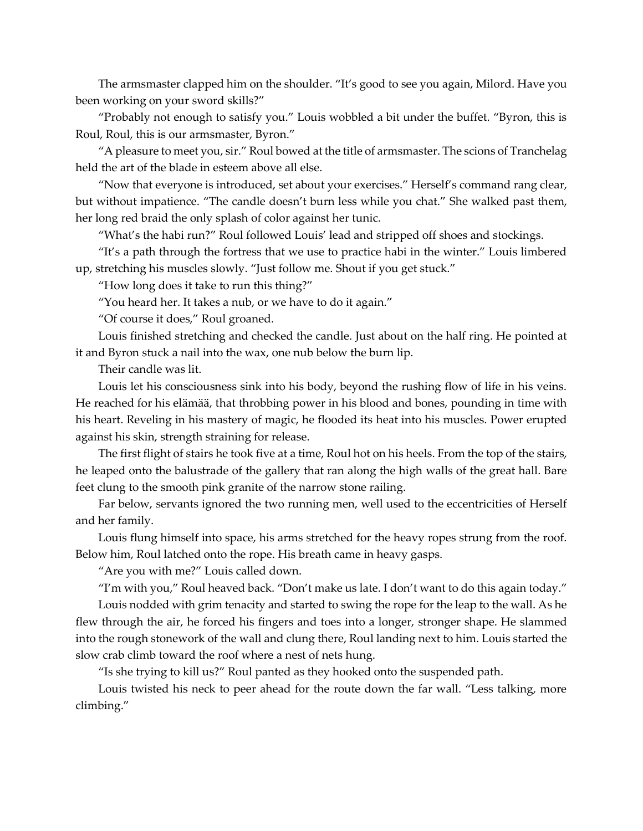The armsmaster clapped him on the shoulder. "It's good to see you again, Milord. Have you been working on your sword skills?"

"Probably not enough to satisfy you." Louis wobbled a bit under the buffet. "Byron, this is Roul, Roul, this is our armsmaster, Byron."

"A pleasure to meet you, sir." Roul bowed at the title of armsmaster. The scions of Tranchelag held the art of the blade in esteem above all else.

"Now that everyone is introduced, set about your exercises." Herself's command rang clear, but without impatience. "The candle doesn't burn less while you chat." She walked past them, her long red braid the only splash of color against her tunic.

"What's the habi run?" Roul followed Louis' lead and stripped off shoes and stockings.

"It's a path through the fortress that we use to practice habi in the winter." Louis limbered up, stretching his muscles slowly. "Just follow me. Shout if you get stuck."

"How long does it take to run this thing?"

"You heard her. It takes a nub, or we have to do it again."

"Of course it does," Roul groaned.

Louis finished stretching and checked the candle. Just about on the half ring. He pointed at it and Byron stuck a nail into the wax, one nub below the burn lip.

Their candle was lit.

Louis let his consciousness sink into his body, beyond the rushing flow of life in his veins. He reached for his elämää, that throbbing power in his blood and bones, pounding in time with his heart. Reveling in his mastery of magic, he flooded its heat into his muscles. Power erupted against his skin, strength straining for release.

The first flight of stairs he took five at a time, Roul hot on his heels. From the top of the stairs, he leaped onto the balustrade of the gallery that ran along the high walls of the great hall. Bare feet clung to the smooth pink granite of the narrow stone railing.

Far below, servants ignored the two running men, well used to the eccentricities of Herself and her family.

Louis flung himself into space, his arms stretched for the heavy ropes strung from the roof. Below him, Roul latched onto the rope. His breath came in heavy gasps.

"Are you with me?" Louis called down.

"I'm with you," Roul heaved back. "Don't make us late. I don't want to do this again today."

Louis nodded with grim tenacity and started to swing the rope for the leap to the wall. As he flew through the air, he forced his fingers and toes into a longer, stronger shape. He slammed into the rough stonework of the wall and clung there, Roul landing next to him. Louis started the slow crab climb toward the roof where a nest of nets hung.

"Is she trying to kill us?" Roul panted as they hooked onto the suspended path.

Louis twisted his neck to peer ahead for the route down the far wall. "Less talking, more climbing."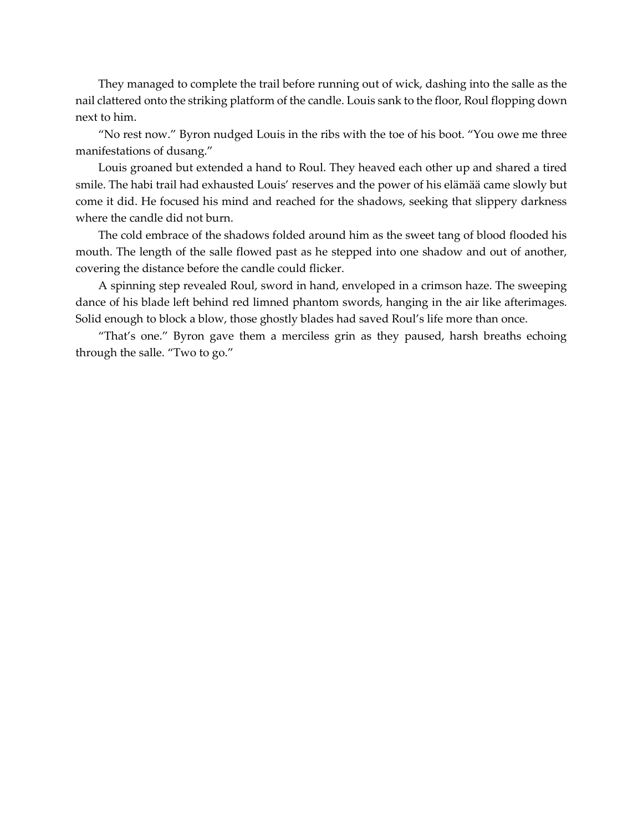They managed to complete the trail before running out of wick, dashing into the salle as the nail clattered onto the striking platform of the candle. Louis sank to the floor, Roul flopping down next to him.

"No rest now." Byron nudged Louis in the ribs with the toe of his boot. "You owe me three manifestations of dusang."

Louis groaned but extended a hand to Roul. They heaved each other up and shared a tired smile. The habi trail had exhausted Louis' reserves and the power of his elämää came slowly but come it did. He focused his mind and reached for the shadows, seeking that slippery darkness where the candle did not burn.

The cold embrace of the shadows folded around him as the sweet tang of blood flooded his mouth. The length of the salle flowed past as he stepped into one shadow and out of another, covering the distance before the candle could flicker.

A spinning step revealed Roul, sword in hand, enveloped in a crimson haze. The sweeping dance of his blade left behind red limned phantom swords, hanging in the air like afterimages. Solid enough to block a blow, those ghostly blades had saved Roul's life more than once.

"That's one." Byron gave them a merciless grin as they paused, harsh breaths echoing through the salle. "Two to go."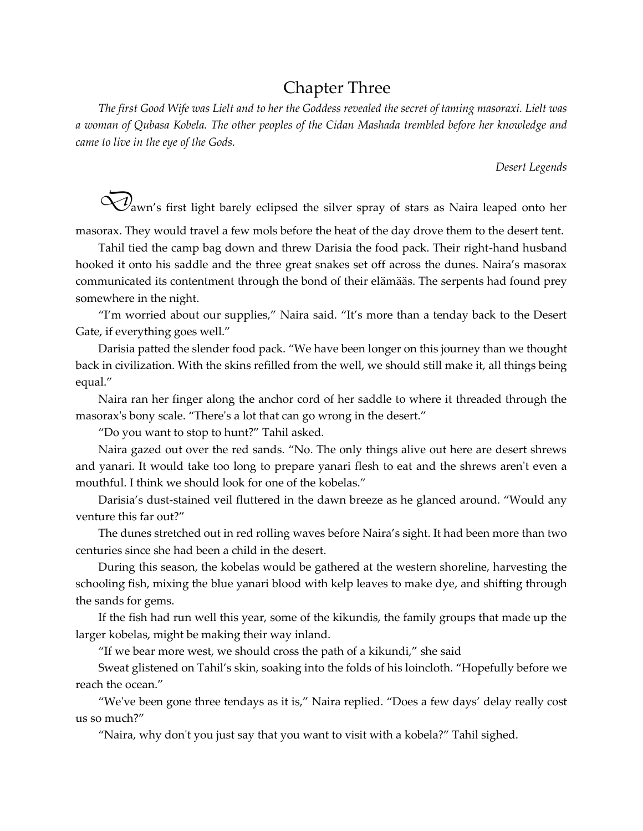# Chapter Three

*The first Good Wife was Lielt and to her the Goddess revealed the secret of taming masoraxi. Lielt was a woman of Qubasa Kobela. The other peoples of the Cidan Mashada trembled before her knowledge and came to live in the eye of the Gods.*

*Desert Legends*

 $\widetilde{\mathcal{Q}}$ awn's first light barely eclipsed the silver spray of stars as Naira leaped onto her masorax. They would travel a few mols before the heat of the day drove them to the desert tent.

Tahil tied the camp bag down and threw Darisia the food pack. Their right-hand husband hooked it onto his saddle and the three great snakes set off across the dunes. Naira's masorax communicated its contentment through the bond of their elämääs. The serpents had found prey somewhere in the night.

"I'm worried about our supplies," Naira said. "It's more than a tenday back to the Desert Gate, if everything goes well."

Darisia patted the slender food pack. "We have been longer on this journey than we thought back in civilization. With the skins refilled from the well, we should still make it, all things being equal."

Naira ran her finger along the anchor cord of her saddle to where it threaded through the masorax's bony scale. "There's a lot that can go wrong in the desert."

"Do you want to stop to hunt?" Tahil asked.

Naira gazed out over the red sands. "No. The only things alive out here are desert shrews and yanari. It would take too long to prepare yanari flesh to eat and the shrews aren't even a mouthful. I think we should look for one of the kobelas."

Darisia's dust-stained veil fluttered in the dawn breeze as he glanced around. "Would any venture this far out?"

The dunes stretched out in red rolling waves before Naira's sight. It had been more than two centuries since she had been a child in the desert.

During this season, the kobelas would be gathered at the western shoreline, harvesting the schooling fish, mixing the blue yanari blood with kelp leaves to make dye, and shifting through the sands for gems.

If the fish had run well this year, some of the kikundis, the family groups that made up the larger kobelas, might be making their way inland.

"If we bear more west, we should cross the path of a kikundi," she said

Sweat glistened on Tahil's skin, soaking into the folds of his loincloth. "Hopefully before we reach the ocean."

"We've been gone three tendays as it is," Naira replied. "Does a few days' delay really cost us so much?"

"Naira, why don't you just say that you want to visit with a kobela?" Tahil sighed.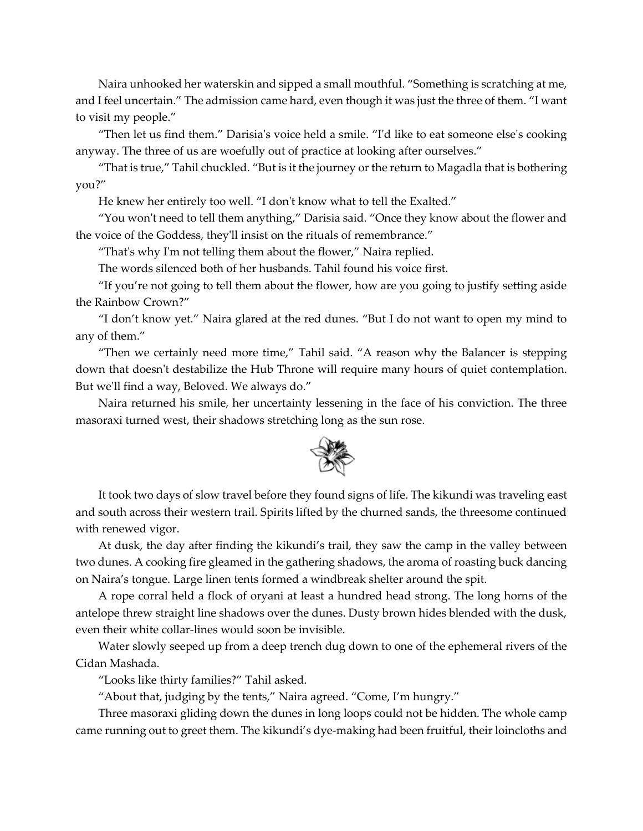Naira unhooked her waterskin and sipped a small mouthful. "Something is scratching at me, and I feel uncertain." The admission came hard, even though it was just the three of them. "I want to visit my people."

"Then let us find them." Darisia's voice held a smile. "I'd like to eat someone else's cooking anyway. The three of us are woefully out of practice at looking after ourselves."

"That is true," Tahil chuckled. "But is it the journey or the return to Magadla that is bothering you?"

He knew her entirely too well. "I don't know what to tell the Exalted."

"You won't need to tell them anything," Darisia said. "Once they know about the flower and the voice of the Goddess, they'll insist on the rituals of remembrance."

"That's why I'm not telling them about the flower," Naira replied.

The words silenced both of her husbands. Tahil found his voice first.

"If you're not going to tell them about the flower, how are you going to justify setting aside the Rainbow Crown?"

"I don't know yet." Naira glared at the red dunes. "But I do not want to open my mind to any of them."

"Then we certainly need more time," Tahil said. "A reason why the Balancer is stepping down that doesn't destabilize the Hub Throne will require many hours of quiet contemplation. But we'll find a way, Beloved. We always do."

Naira returned his smile, her uncertainty lessening in the face of his conviction. The three masoraxi turned west, their shadows stretching long as the sun rose.



It took two days of slow travel before they found signs of life. The kikundi was traveling east and south across their western trail. Spirits lifted by the churned sands, the threesome continued with renewed vigor.

At dusk, the day after finding the kikundi's trail, they saw the camp in the valley between two dunes. A cooking fire gleamed in the gathering shadows, the aroma of roasting buck dancing on Naira's tongue. Large linen tents formed a windbreak shelter around the spit.

A rope corral held a flock of oryani at least a hundred head strong. The long horns of the antelope threw straight line shadows over the dunes. Dusty brown hides blended with the dusk, even their white collar-lines would soon be invisible.

Water slowly seeped up from a deep trench dug down to one of the ephemeral rivers of the Cidan Mashada.

"Looks like thirty families?" Tahil asked.

"About that, judging by the tents," Naira agreed. "Come, I'm hungry."

Three masoraxi gliding down the dunes in long loops could not be hidden. The whole camp came running out to greet them. The kikundi's dye-making had been fruitful, their loincloths and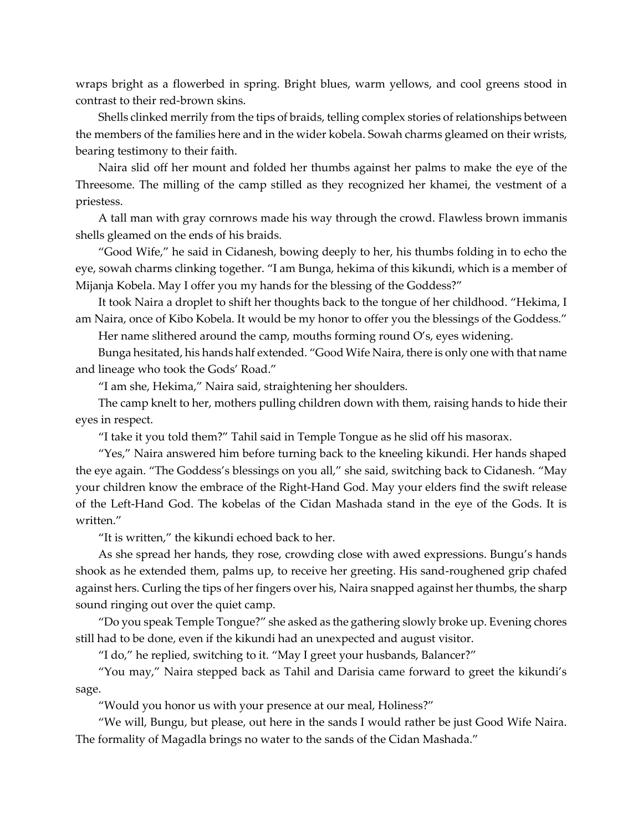wraps bright as a flowerbed in spring. Bright blues, warm yellows, and cool greens stood in contrast to their red-brown skins.

Shells clinked merrily from the tips of braids, telling complex stories of relationships between the members of the families here and in the wider kobela. Sowah charms gleamed on their wrists, bearing testimony to their faith.

Naira slid off her mount and folded her thumbs against her palms to make the eye of the Threesome. The milling of the camp stilled as they recognized her khamei, the vestment of a priestess.

A tall man with gray cornrows made his way through the crowd. Flawless brown immanis shells gleamed on the ends of his braids.

"Good Wife," he said in Cidanesh, bowing deeply to her, his thumbs folding in to echo the eye, sowah charms clinking together. "I am Bunga, hekima of this kikundi, which is a member of Mijanja Kobela. May I offer you my hands for the blessing of the Goddess?"

It took Naira a droplet to shift her thoughts back to the tongue of her childhood. "Hekima, I am Naira, once of Kibo Kobela. It would be my honor to offer you the blessings of the Goddess."

Her name slithered around the camp, mouths forming round  $O$ 's, eyes widening.

Bunga hesitated, his hands half extended. "Good Wife Naira, there is only one with that name and lineage who took the Gods' Road."

"I am she, Hekima," Naira said, straightening her shoulders.

The camp knelt to her, mothers pulling children down with them, raising hands to hide their eyes in respect.

"I take it you told them?" Tahil said in Temple Tongue as he slid off his masorax.

"Yes," Naira answered him before turning back to the kneeling kikundi. Her hands shaped the eye again. "The Goddess's blessings on you all," she said, switching back to Cidanesh. "May your children know the embrace of the Right-Hand God. May your elders find the swift release of the Left-Hand God. The kobelas of the Cidan Mashada stand in the eye of the Gods. It is written."

"It is written," the kikundi echoed back to her.

As she spread her hands, they rose, crowding close with awed expressions. Bungu's hands shook as he extended them, palms up, to receive her greeting. His sand-roughened grip chafed against hers. Curling the tips of her fingers over his, Naira snapped against her thumbs, the sharp sound ringing out over the quiet camp.

"Do you speak Temple Tongue?" she asked as the gathering slowly broke up. Evening chores still had to be done, even if the kikundi had an unexpected and august visitor.

"I do," he replied, switching to it. "May I greet your husbands, Balancer?"

"You may," Naira stepped back as Tahil and Darisia came forward to greet the kikundi's sage.

"Would you honor us with your presence at our meal, Holiness?"

"We will, Bungu, but please, out here in the sands I would rather be just Good Wife Naira. The formality of Magadla brings no water to the sands of the Cidan Mashada."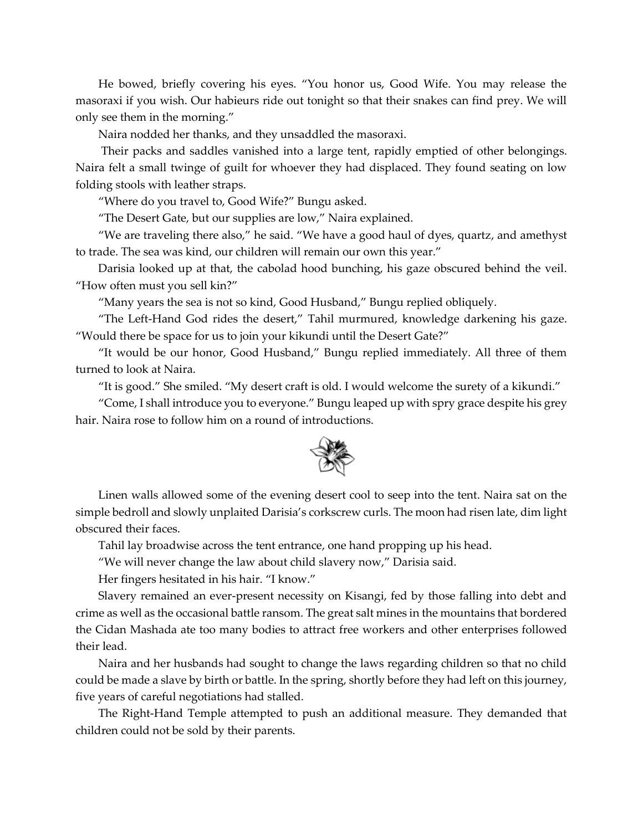He bowed, briefly covering his eyes. "You honor us, Good Wife. You may release the masoraxi if you wish. Our habieurs ride out tonight so that their snakes can find prey. We will only see them in the morning."

Naira nodded her thanks, and they unsaddled the masoraxi.

Their packs and saddles vanished into a large tent, rapidly emptied of other belongings. Naira felt a small twinge of guilt for whoever they had displaced. They found seating on low folding stools with leather straps.

"Where do you travel to, Good Wife?" Bungu asked.

"The Desert Gate, but our supplies are low," Naira explained.

"We are traveling there also," he said. "We have a good haul of dyes, quartz, and amethyst to trade. The sea was kind, our children will remain our own this year."

Darisia looked up at that, the cabolad hood bunching, his gaze obscured behind the veil. "How often must you sell kin?"

"Many years the sea is not so kind, Good Husband," Bungu replied obliquely.

"The Left-Hand God rides the desert," Tahil murmured, knowledge darkening his gaze. "Would there be space for us to join your kikundi until the Desert Gate?"

"It would be our honor, Good Husband," Bungu replied immediately. All three of them turned to look at Naira.

"It is good." She smiled. "My desert craft is old. I would welcome the surety of a kikundi."

"Come, I shall introduce you to everyone." Bungu leaped up with spry grace despite his grey hair. Naira rose to follow him on a round of introductions.



Linen walls allowed some of the evening desert cool to seep into the tent. Naira sat on the simple bedroll and slowly unplaited Darisia's corkscrew curls. The moon had risen late, dim light obscured their faces.

Tahil lay broadwise across the tent entrance, one hand propping up his head.

"We will never change the law about child slavery now," Darisia said.

Her fingers hesitated in his hair. "I know."

Slavery remained an ever-present necessity on Kisangi, fed by those falling into debt and crime as well as the occasional battle ransom. The great salt mines in the mountains that bordered the Cidan Mashada ate too many bodies to attract free workers and other enterprises followed their lead.

Naira and her husbands had sought to change the laws regarding children so that no child could be made a slave by birth or battle. In the spring, shortly before they had left on this journey, five years of careful negotiations had stalled.

The Right-Hand Temple attempted to push an additional measure. They demanded that children could not be sold by their parents.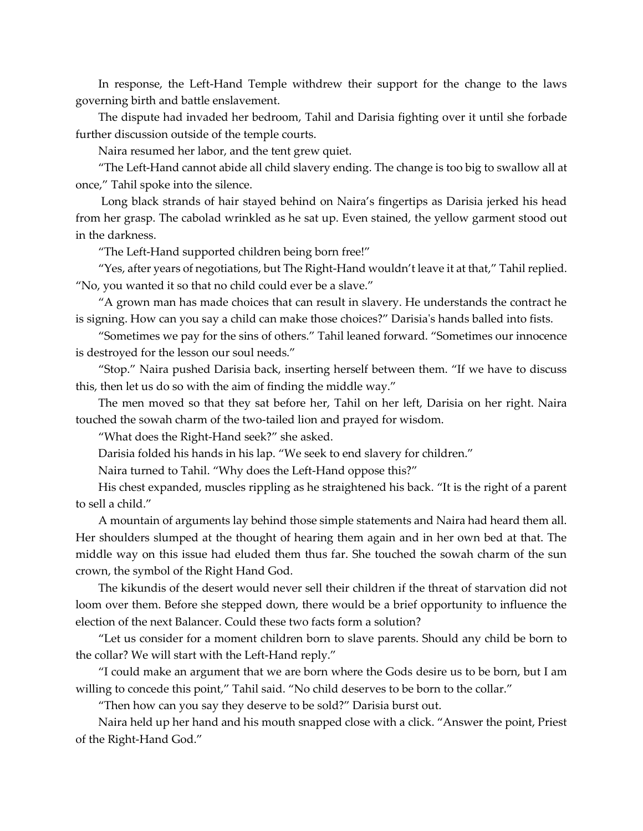In response, the Left-Hand Temple withdrew their support for the change to the laws governing birth and battle enslavement.

The dispute had invaded her bedroom, Tahil and Darisia fighting over it until she forbade further discussion outside of the temple courts.

Naira resumed her labor, and the tent grew quiet.

"The Left-Hand cannot abide all child slavery ending. The change is too big to swallow all at once," Tahil spoke into the silence.

Long black strands of hair stayed behind on Naira's fingertips as Darisia jerked his head from her grasp. The cabolad wrinkled as he sat up. Even stained, the yellow garment stood out in the darkness.

"The Left-Hand supported children being born free!"

"Yes, after years of negotiations, but The Right-Hand wouldn't leave it at that," Tahil replied. "No, you wanted it so that no child could ever be a slave."

"A grown man has made choices that can result in slavery. He understands the contract he is signing. How can you say a child can make those choices?" Darisia's hands balled into fists.

"Sometimes we pay for the sins of others." Tahil leaned forward. "Sometimes our innocence is destroyed for the lesson our soul needs."

"Stop." Naira pushed Darisia back, inserting herself between them. "If we have to discuss this, then let us do so with the aim of finding the middle way."

The men moved so that they sat before her, Tahil on her left, Darisia on her right. Naira touched the sowah charm of the two-tailed lion and prayed for wisdom.

"What does the Right-Hand seek?" she asked.

Darisia folded his hands in his lap. "We seek to end slavery for children."

Naira turned to Tahil. "Why does the Left-Hand oppose this?"

His chest expanded, muscles rippling as he straightened his back. "It is the right of a parent to sell a child."

A mountain of arguments lay behind those simple statements and Naira had heard them all. Her shoulders slumped at the thought of hearing them again and in her own bed at that. The middle way on this issue had eluded them thus far. She touched the sowah charm of the sun crown, the symbol of the Right Hand God.

The kikundis of the desert would never sell their children if the threat of starvation did not loom over them. Before she stepped down, there would be a brief opportunity to influence the election of the next Balancer. Could these two facts form a solution?

"Let us consider for a moment children born to slave parents. Should any child be born to the collar? We will start with the Left-Hand reply."

"I could make an argument that we are born where the Gods desire us to be born, but I am willing to concede this point," Tahil said. "No child deserves to be born to the collar."

"Then how can you say they deserve to be sold?" Darisia burst out.

Naira held up her hand and his mouth snapped close with a click. "Answer the point, Priest of the Right-Hand God."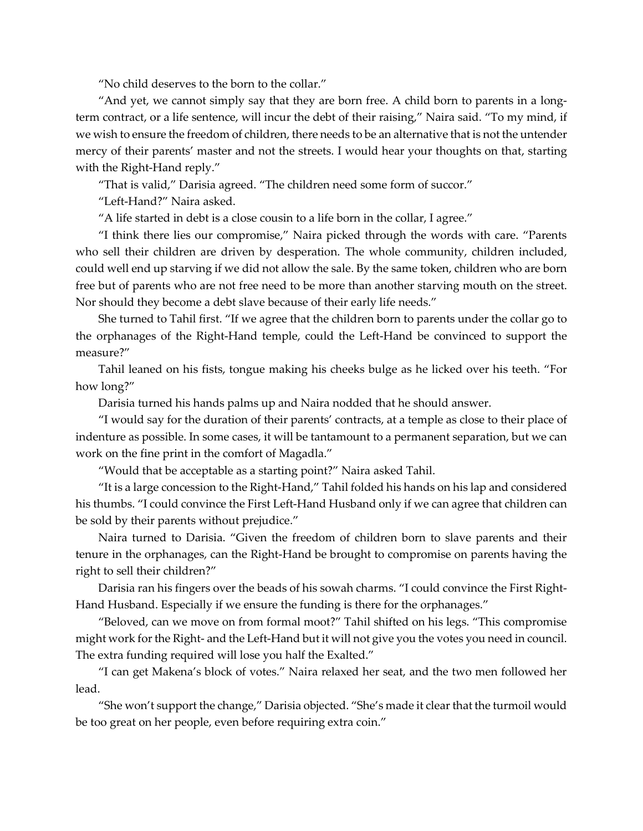"No child deserves to the born to the collar."

"And yet, we cannot simply say that they are born free. A child born to parents in a longterm contract, or a life sentence, will incur the debt of their raising," Naira said. "To my mind, if we wish to ensure the freedom of children, there needs to be an alternative that is not the untender mercy of their parents' master and not the streets. I would hear your thoughts on that, starting with the Right-Hand reply."

"That is valid," Darisia agreed. "The children need some form of succor."

"Left-Hand?" Naira asked.

"A life started in debt is a close cousin to a life born in the collar, I agree."

"I think there lies our compromise," Naira picked through the words with care. "Parents who sell their children are driven by desperation. The whole community, children included, could well end up starving if we did not allow the sale. By the same token, children who are born free but of parents who are not free need to be more than another starving mouth on the street. Nor should they become a debt slave because of their early life needs."

She turned to Tahil first. "If we agree that the children born to parents under the collar go to the orphanages of the Right-Hand temple, could the Left-Hand be convinced to support the measure?"

Tahil leaned on his fists, tongue making his cheeks bulge as he licked over his teeth. "For how long?"

Darisia turned his hands palms up and Naira nodded that he should answer.

"I would say for the duration of their parents' contracts, at a temple as close to their place of indenture as possible. In some cases, it will be tantamount to a permanent separation, but we can work on the fine print in the comfort of Magadla."

"Would that be acceptable as a starting point?" Naira asked Tahil.

"It is a large concession to the Right-Hand," Tahil folded his hands on his lap and considered his thumbs. "I could convince the First Left-Hand Husband only if we can agree that children can be sold by their parents without prejudice."

Naira turned to Darisia. "Given the freedom of children born to slave parents and their tenure in the orphanages, can the Right-Hand be brought to compromise on parents having the right to sell their children?"

Darisia ran his fingers over the beads of his sowah charms. "I could convince the First Right-Hand Husband. Especially if we ensure the funding is there for the orphanages."

"Beloved, can we move on from formal moot?" Tahil shifted on his legs. "This compromise might work for the Right- and the Left-Hand but it will not give you the votes you need in council. The extra funding required will lose you half the Exalted."

"I can get Makena's block of votes." Naira relaxed her seat, and the two men followed her lead.

"She won't support the change," Darisia objected. "She's made it clear that the turmoil would be too great on her people, even before requiring extra coin."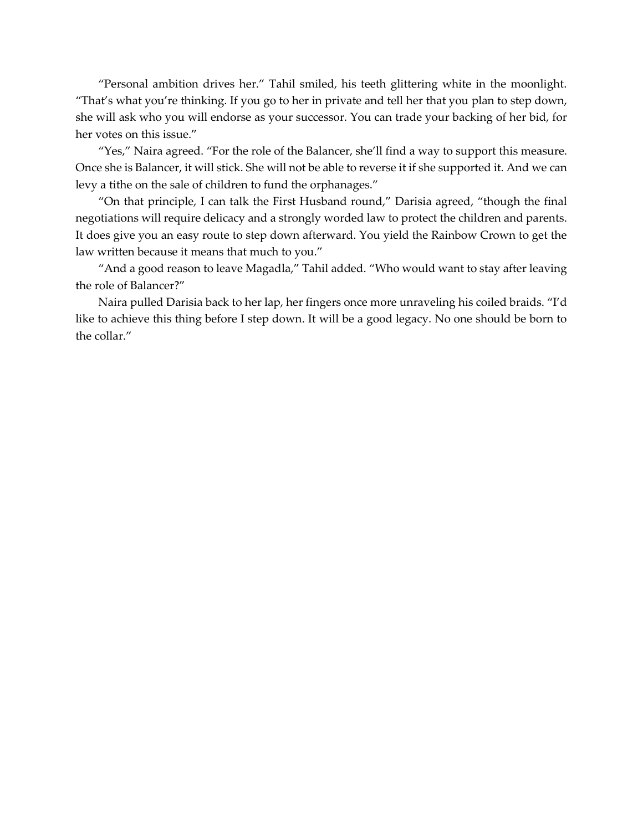"Personal ambition drives her." Tahil smiled, his teeth glittering white in the moonlight. "That's what you're thinking. If you go to her in private and tell her that you plan to step down, she will ask who you will endorse as your successor. You can trade your backing of her bid, for her votes on this issue."

"Yes," Naira agreed. "For the role of the Balancer, she'll find a way to support this measure. Once she is Balancer, it will stick. She will not be able to reverse it if she supported it. And we can levy a tithe on the sale of children to fund the orphanages."

"On that principle, I can talk the First Husband round," Darisia agreed, "though the final negotiations will require delicacy and a strongly worded law to protect the children and parents. It does give you an easy route to step down afterward. You yield the Rainbow Crown to get the law written because it means that much to you."

"And a good reason to leave Magadla," Tahil added. "Who would want to stay after leaving the role of Balancer?"

Naira pulled Darisia back to her lap, her fingers once more unraveling his coiled braids. "I'd like to achieve this thing before I step down. It will be a good legacy. No one should be born to the collar."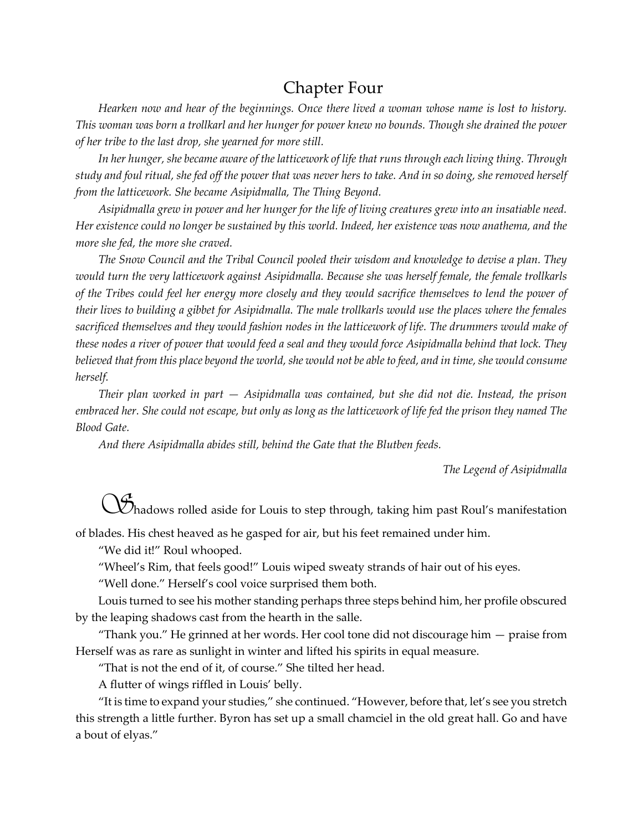# Chapter Four

*Hearken now and hear of the beginnings. Once there lived a woman whose name is lost to history. This woman was born a trollkarl and her hunger for power knew no bounds. Though she drained the power of her tribe to the last drop, she yearned for more still.*

*In her hunger, she became aware of the latticework of life that runs through each living thing. Through study and foul ritual, she fed off the power that was never hers to take. And in so doing, she removed herself from the latticework. She became Asipidmalla, The Thing Beyond.*

*Asipidmalla grew in power and her hunger for the life of living creatures grew into an insatiable need. Her existence could no longer be sustained by this world. Indeed, her existence was now anathema, and the more she fed, the more she craved.*

*The Snow Council and the Tribal Council pooled their wisdom and knowledge to devise a plan. They would turn the very latticework against Asipidmalla. Because she was herself female, the female trollkarls of the Tribes could feel her energy more closely and they would sacrifice themselves to lend the power of their lives to building a gibbet for Asipidmalla. The male trollkarls would use the places where the females sacrificed themselves and they would fashion nodes in the latticework of life. The drummers would make of these nodes a river of power that would feed a seal and they would force Asipidmalla behind that lock. They believed that from this place beyond the world, she would not be able to feed, and in time, she would consume herself.* 

*Their plan worked in part — Asipidmalla was contained, but she did not die. Instead, the prison embraced her. She could not escape, but only as long as the latticework of life fed the prison they named The Blood Gate.* 

*And there Asipidmalla abides still, behind the Gate that the Blutben feeds.*

*The Legend of Asipidmalla*

*S*hadows rolled aside for Louis to step through, taking him past Roul's manifestation

of blades. His chest heaved as he gasped for air, but his feet remained under him.

"We did it!" Roul whooped.

"Wheel's Rim, that feels good!" Louis wiped sweaty strands of hair out of his eyes.

"Well done." Herself's cool voice surprised them both.

Louis turned to see his mother standing perhaps three steps behind him, her profile obscured by the leaping shadows cast from the hearth in the salle.

"Thank you." He grinned at her words. Her cool tone did not discourage him — praise from Herself was as rare as sunlight in winter and lifted his spirits in equal measure.

"That is not the end of it, of course." She tilted her head.

A flutter of wings riffled in Louis' belly.

"It is time to expand your studies," she continued. "However, before that, let's see you stretch this strength a little further. Byron has set up a small chamciel in the old great hall. Go and have a bout of elyas."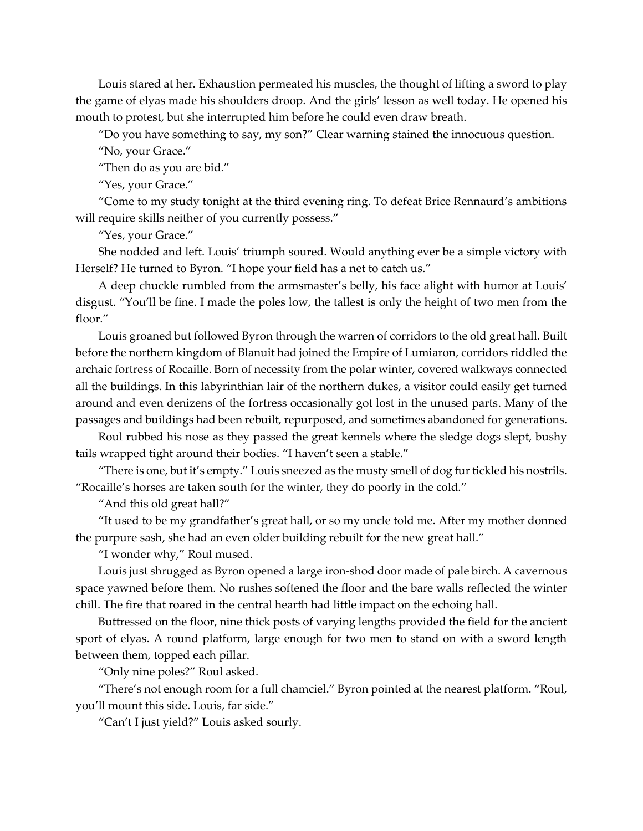Louis stared at her. Exhaustion permeated his muscles, the thought of lifting a sword to play the game of elyas made his shoulders droop. And the girls' lesson as well today. He opened his mouth to protest, but she interrupted him before he could even draw breath.

"Do you have something to say, my son?" Clear warning stained the innocuous question.

"No, your Grace."

"Then do as you are bid*.*"

"Yes, your Grace."

"Come to my study tonight at the third evening ring. To defeat Brice Rennaurd's ambitions will require skills neither of you currently possess."

"Yes, your Grace."

She nodded and left. Louis' triumph soured. Would anything ever be a simple victory with Herself? He turned to Byron. "I hope your field has a net to catch us."

A deep chuckle rumbled from the armsmaster's belly, his face alight with humor at Louis' disgust. "You'll be fine. I made the poles low, the tallest is only the height of two men from the floor."

Louis groaned but followed Byron through the warren of corridors to the old great hall. Built before the northern kingdom of Blanuit had joined the Empire of Lumiaron, corridors riddled the archaic fortress of Rocaille. Born of necessity from the polar winter, covered walkways connected all the buildings. In this labyrinthian lair of the northern dukes, a visitor could easily get turned around and even denizens of the fortress occasionally got lost in the unused parts. Many of the passages and buildings had been rebuilt, repurposed, and sometimes abandoned for generations.

Roul rubbed his nose as they passed the great kennels where the sledge dogs slept, bushy tails wrapped tight around their bodies. "I haven't seen a stable."

"There is one, but it's empty." Louis sneezed as the musty smell of dog furtickled his nostrils. "Rocaille's horses are taken south for the winter, they do poorly in the cold."

"And this old great hall?"

"It used to be my grandfather's great hall, or so my uncle told me. After my mother donned the purpure sash, she had an even older building rebuilt for the new great hall."

"I wonder why," Roul mused.

Louis just shrugged as Byron opened a large iron-shod door made of pale birch. A cavernous space yawned before them. No rushes softened the floor and the bare walls reflected the winter chill. The fire that roared in the central hearth had little impact on the echoing hall.

Buttressed on the floor, nine thick posts of varying lengths provided the field for the ancient sport of elyas. A round platform, large enough for two men to stand on with a sword length between them, topped each pillar.

"Only nine poles?" Roul asked.

"There's not enough room for a full chamciel." Byron pointed at the nearest platform. "Roul, you'll mount this side. Louis, far side."

"Can't I just yield?" Louis asked sourly.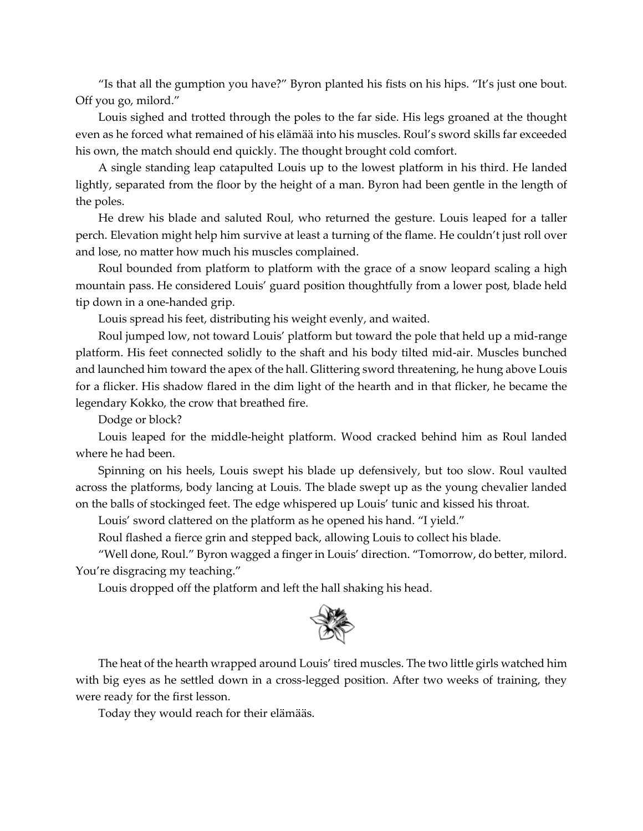"Is that all the gumption you have?" Byron planted his fists on his hips. "It's just one bout. Off you go, milord."

Louis sighed and trotted through the poles to the far side. His legs groaned at the thought even as he forced what remained of his elämää into his muscles. Roul's sword skills far exceeded his own, the match should end quickly. The thought brought cold comfort.

A single standing leap catapulted Louis up to the lowest platform in his third. He landed lightly, separated from the floor by the height of a man. Byron had been gentle in the length of the poles.

He drew his blade and saluted Roul, who returned the gesture. Louis leaped for a taller perch. Elevation might help him survive at least a turning of the flame. He couldn't just roll over and lose, no matter how much his muscles complained.

Roul bounded from platform to platform with the grace of a snow leopard scaling a high mountain pass. He considered Louis' guard position thoughtfully from a lower post, blade held tip down in a one-handed grip.

Louis spread his feet, distributing his weight evenly, and waited.

Roul jumped low, not toward Louis' platform but toward the pole that held up a mid-range platform. His feet connected solidly to the shaft and his body tilted mid-air. Muscles bunched and launched him toward the apex of the hall. Glittering sword threatening, he hung above Louis for a flicker. His shadow flared in the dim light of the hearth and in that flicker, he became the legendary Kokko, the crow that breathed fire.

Dodge or block?

Louis leaped for the middle-height platform. Wood cracked behind him as Roul landed where he had been.

Spinning on his heels, Louis swept his blade up defensively, but too slow. Roul vaulted across the platforms, body lancing at Louis. The blade swept up as the young chevalier landed on the balls of stockinged feet. The edge whispered up Louis' tunic and kissed his throat.

Louis' sword clattered on the platform as he opened his hand. "I yield."

Roul flashed a fierce grin and stepped back, allowing Louis to collect his blade.

"Well done, Roul." Byron wagged a finger in Louis' direction. "Tomorrow, do better, milord. You're disgracing my teaching."

Louis dropped off the platform and left the hall shaking his head.



The heat of the hearth wrapped around Louis' tired muscles. The two little girls watched him with big eyes as he settled down in a cross-legged position. After two weeks of training, they were ready for the first lesson.

Today they would reach for their elämääs.